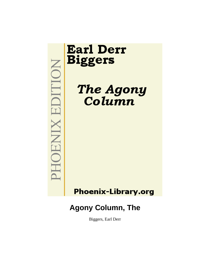MOHOENIX EDITION

# **Earl Derr Biggers**

The Agony<br>Column

**Phoenix-Library.org** 

## **Agony Column, The**

Biggers, Earl Derr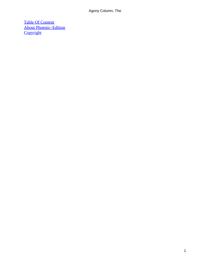[Table Of Content](#page-66-0) [About Phoenix−Edition](#page-67-0) **[Copyright](#page-68-0)**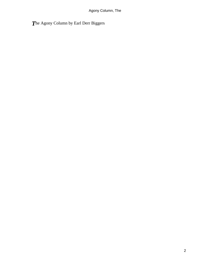## *T*he Agony Column by Earl Derr Biggers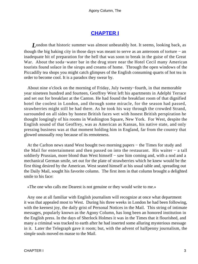## **[CHAPTER I](#page-66-0)**

<span id="page-3-0"></span>*L*ondon that historic summer was almost unbearably hot. It seems, looking back, as though the big baking city in those days was meant to serve as an anteroom of torture − an inadequate bit of preparation for the hell that was soon to break in the guise of the Great War. About the soda−water bar in the drug store near the Hotel Cecil many American tourists found solace in the sirups and creams of home. Through the open windows of the Piccadilly tea shops you might catch glimpses of the English consuming quarts of hot tea in order to become cool. It is a paradox they swear by.

 About nine o'clock on the morning of Friday, July twenty−fourth, in that memorable year nineteen hundred and fourteen, Geoffrey West left his apartments in Adelphi Terrace and set out for breakfast at the Canton. He had found the breakfast room of that dignified hotel the coolest in London, and through some miracle, for the season had passed, strawberries might still be had there. As he took his way through the crowded Strand, surrounded on all sides by honest British faces wet with honest British perspiration he thought longingly of his rooms in Washington Square, New York. For West, despite the English sound of that Geoffrey, was as American as Kansas, his native state, and only pressing business was at that moment holding him in England, far from the country that glowed unusually rosy because of its remoteness.

 At the Carlton news stand West bought two morning papers − the Times for study and the Mail for entertainment and then passed on into the restaurant. His waiter − a tall soldierly Prussian, more blond than West himself – saw him coming and, with a nod and a mechanical German smile, set out for the plate of strawberries which he knew would be the first thing desired by the American. West seated himself at his usual table and, spreading out the Daily Mail, sought his favorite column. The first item in that column brought a delighted smile to his face:

«The one who calls me Dearest is not genuine or they would write to me.»

 Any one at all familiar with English journalism will recognize at once what department it was that appealed most to West. During his three weeks in London he had been following, with the keenest joy, the daily grist of Personal Notices in the Mail. This string of intimate messages, popularly known as the Agony Column, has long been an honored institution in the English press. In the days of Sherlock Holmes it was in the Times that it flourished, and many a criminal was tracked to earth after he had inserted some alluring mysterious message in it. Later the Telegraph gave it room; but, with the advent of halfpenny journalism, the simple souls moved en masse to the Mail.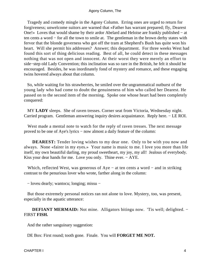Tragedy and comedy mingle in the Agony Column. Erring ones are urged to return for forgiveness; unwelcome suitors are warned that «Father has warrant prepared; fly, Dearest One!» Loves that would shame by their ardor Abelard and Heloise are frankly published − at ten cents a word − for all the town to smile at. The gentleman in the brown derby states with fervor that the blonde governess who got off the tram at Shepherd's Bush has quite won his heart. Will she permit his addresses? Answer; this department. For three weeks West had found this sort of thing delicious reading. Best of all, he could detect in these messages nothing that was not open and innocent. At their worst they were merely an effort to side−step old Lady Convention; this inclination was so rare in the British, he felt it should be encouraged. Besides, he was inordinately fond of mystery and romance, and these engaging twins hovered always about that column.

 So, while waiting for his strawberries, he smiled over the ungrammatical outburst of the young lady who had come to doubt the genuineness of him who called her Dearest. He passed on to the second item of the morning. Spoke one whose heart had been completely conquered:

 MY **LADY** sleeps. She of raven tresses. Corner seat from Victoria, Wednesday night. Carried program. Gentleman answering inquiry desires acquaintance. Reply here. − LE ROI.

 West made a mental note to watch for the reply of raven tresses. The next message proved to be one of Aye's lyrics − now almost a daily feature of the column:

**DEAREST:** Tender loving wishes to my dear one. Only to be with you now and always. None «fairer in my eyes.» Your name is music to me. I love you more than life itself, my own beautiful darling, my proud sweetheart, my joy, my all! Jealous of everybody. Kiss your dear hands for me. Love you only. Thine ever. − AYE.

Which, reflected West, was generous of Aye – at ten cents a word – and in striking contrast to the penurious lover who wrote, farther along in the column:

− loveu dearly; wantocu; longing; missu −

 But those extremely personal notices ran not alone to love. Mystery, too, was present, especially in the aquatic utterance:

DEFIANT MERMAID: Not mine. Alligators bitingu now. 'Tis well; delighted. – FIRST **FISH.**

And the rather sanguinary suggestion:

DE Box: First round; tooth gone. Finale. You will **FORGET ME NOT.**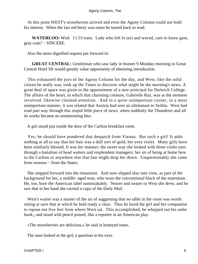At this point WEST's strawberries arrived and even the Agony Column could not hold his interest. When the last red berry was eaten he turned back to read:

**WATERLOO:** Wed. 11:53 train. Lady who left in taxi and waved, care to know gent, gray coat? − SINCERE.

Also the more dignified request put forward in:

**GREAT CENTRAL:** Gentleman who saw lady in bonnet 9 Monday morning in Great Central Hotel lift would greatly value opportunity of obtaining introduction.

 This exhausted the joys of the Agony Column for the day, and West, like the solid citizen he really was, took up the Times to discover what might be the morning's news. A great deal of space was given to the appointment of a new principal for Dulwich College. The affairs of the heart, in which that charming creature, Gabrielle Ray, was at the moment involved, likewise claimed attention. And in a quite unimportant corner, in a most unimportant manner, it was related that Austria had sent an ultimatum to Serbia. West had read part way through this stupid little piece of news, when suddenly the Thunderer and all its works became an uninteresting blur.

A girl stood just inside the door of the Carlton breakfast room.

 Yes; he should have pondered that despatch from Vienna. But such a girl! It adds nothing at all to say that her hair was a dull sort of gold; her eyes violet. Many girls have been similarly blessed. It was her manner; the sweet way she looked with those violet eyes through a battalion of head waiters and resplendent managers; her air of being at home here in the Carlton or anywhere else that fate might drop her down. Unquestionably she came from oversea – from the States.

 She stepped forward into the restaurant. And now slipped also into view, as part of the background for her, a middle−aged man, who wore the conventional black of the statesman. He, too, bore the American label unmistakably. Nearer and nearer to West she drew, and he saw that in her hand she carried a copy of the Daily Mail.

 West's waiter was a master of the art of suggesting that no table in the room was worth sitting at save that at which he held ready a chair. Thus he lured the girl and her companion to repose not five feet from where West sat. This accomplished, he whipped out his order book,; and stood with pencil poised, like a reporter in an American play.

«The strawberries are delicious,» he said in honeyed tones.

The man looked at the girl, a question in his eyes.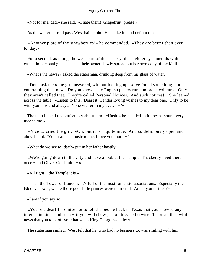«Not for me, dad,» she said. «I hate them! Grapefruit, please.»

As the waiter hurried past, West hailed him. He spoke in loud defiant tones.

 «Another plate of the strawberries!» he commanded. «They are better than ever to−day.»

 For a second, as though he were part of the scenery, those violet eyes met his with a casual impersonal glance. Then their owner slowly spread out her own copy of the Mail.

«What's the news?» asked the statesman, drinking deep from his glass of water.

 «Don't ask me,» the girl answered, without looking up. «I've found something more entertaining than news. Do you know – the English papers run humorous columns! Only they aren't called that. They're called Personal Notices. And such notices!» She leaned across the table. «Listen to this: 'Dearest: Tender loving wishes to my dear one. Only to be with you now and always. None »fairer in my eyes.  $\lt$  – '»

 The man locked uncomfortably about him. «Hush!» he pleaded. «It doesn't sound very nice to me.»

 «Nice !» cried the girl. «Oh, but it is − quite nice. And so deliciously open and aboveboard. 'Your name is music to me. I love you more − '»

«What do we see to−day?» put in her father hastily.

 «We're going down to the City and have a look at the Temple. Thackeray lived there once − and Oliver Goldsmith − »

«All right − the Temple it is.»

 «Then the Tower of London. It's full of the most romantic associations. Especially the Bloody Tower, where those poor little princes were murdered. Aren't you thrilled?»

«I am if you say so.»

 «You're a dear! I promise not to tell the people back in Texas that you showed any interest in kings and such − if you will show just a little. Otherwise I'll spread the awful news that you took off your hat when King George went by.»

The statesman smiled. West felt that he, who had no business to, was smiling with him.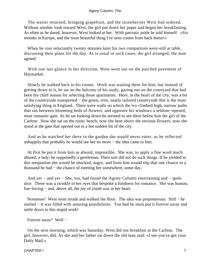The waiter returned, bringing grapefruit, and the strawberries West had ordered. Without another look toward West, the girl put down her paper and began her breakfasting. As often as he dared, however, West looked at her. With patriotic pride he told himself: «Six months in Europe, and the most beautiful thing I've seen comes from back home!»

 When he rose reluctantly twenty minutes later his two compatriots were still at table, discussing their plans for the day. As is usual in such cases, the girl arranged, the man agreed.

 With one last glance in her direction, West went out on the parched pavement of Haymarket.

 Slowly he walked back to his rooms. Work was waiting there for him; but instead of getting down to it, he sat on the balcony of his study, gazing out on the courtyard that had been his chief reason for selecting those apartments. Here, in the heart of the city, was a bit of the countryside transported − the green, trim, neatly tailored countryside that is the most satisfying thing in England. There were walls on which the ivy climbed high, narrow paths that ran between blooming beds of flowers, and opposite his windows a seldom−opened, most romantic gate. As he sat looking down he seemed to see there below him the girl of the Carlton. Now she sat on the rustic bench; now she bent above the envious flowers; now she stood at the gate that opened out to a hot sudden bit of the city.

 And as he watched her there in the garden she would never enter, as he reflected unhappily that probably he would see her no more − the idea came to him.

 At first he put it from him as absurd, impossible. She was, to apply a fine word much abused, a lady; he supposedly a gentleman. Their sort did not do such things. If he yielded to this temptation she would be shocked, angry, and from him would slip that one chance in a thousand he had − the chance of meeting her somewhere, some day.

 And yet − and yet − She, too, had found the Agony Column entertaining and − quite nice. There was a twinkle in her eyes that bespoke a fondness for romance. She was human, fun−loving − and, above all, the joy of youth was in her heart.

 Nonsense! West went inside and walked the floor. The idea was preposterous. Still − he smiled – it was filled with amusing possibilities. Too bad he must put it forever away and settle down to this stupid work!

Forever away? Well −

 On the next morning, which was Saturday, West did not breakfast at the Carlton. The girl, however, did. As she and her father sat down the old man said: «I see you've got your Daily Mail.»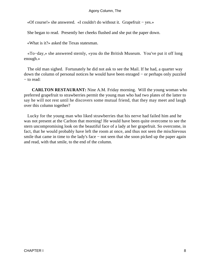«Of course!» she answered. «I couldn't do without it. Grapefruit − yes.»

She began to read. Presently her cheeks flushed and she put the paper down.

«What is it?» asked the Texas statesman.

 «To−day,» she answered sternly, «you do the British Museum. You've put it off long enough.»

 The old man sighed. Fortunately he did not ask to see the Mail. If he had, a quarter way down the column of personal notices he would have been enraged − or perhaps only puzzled − to read:

**CARLTON RESTAURANT:** Nine A.M. Friday morning. Will the young woman who preferred grapefruit to strawberries permit the young man who had two plates of the latter to say he will not rest until he discovers some mutual friend, that they may meet and laugh over this column together?

 Lucky for the young man who liked strawberries that his nerve had failed him and he was not present at the Carlton that morning! He would have been quite overcome to see the stern uncompromising look on the beautiful face of a lady at her grapefruit. So overcome, in fact, that he would probably have left the room at once, and thus not seen the mischievous smile that came in time to the lady's face – not seen that she soon picked up the paper again and read, with that smile, to the end of the column.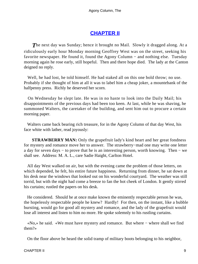## **[CHAPTER II](#page-66-0)**

<span id="page-9-0"></span>**The next day was Sunday; hence it brought no Mail. Slowly it dragged along. At a** ridiculously early hour Monday morning Geoffrey West was on the street, seeking his favorite newspaper. He found it, found the Agony Column − and nothing else. Tuesday morning again he rose early, still hopeful. Then and there hope died. The lady at the Canton deigned no reply.

 Well, he had lost, he told himself. He had staked all on this one bold throw; no use. Probably if she thought of him at all it was to label him a cheap joker, a mountebank of the halfpenny press. Richly he deserved her scorn.

 On Wednesday he slept late. He was in no haste to look into the Daily Mail; his disappointments of the previous days had been too keen. At last, while he was shaving, he summoned Walters, the caretaker of the building, and sent him out to procure a certain morning paper.

 Walters came back bearing rich treasure, for in the Agony Column of that day West, his face white with lather, read joyously:

**STRAWBERRY MAN:** Only the grapefruit lady's kind heart and her great fondness for mystery and romance move her to answer. The strawberry−mad one may write one letter a day for seven days − to prove that he is an interesting person, worth knowing. Then − we shall see. Address: M. A. L., care Sadie Haight, Carlton Hotel.

 All day West walked on air, but with the evening came the problem of those letters, on which depended, he felt, his entire future happiness. Returning from dinner, he sat down at his desk near the windows that looked out on his wonderful courtyard. The weather was still torrid, but with the night had come a breeze to fan the hot cheek of London. It gently stirred his curtains; rustled the papers on his desk.

 He considered. Should he at once make known the eminently respectable person he was, the hopelessly respectable people he knew? Hardly! For then, on the instant, like a bubble bursting, would go for good all mystery and romance, and the lady of the grapefruit would lose all interest and listen to him no more. He spoke solemnly to his rustling curtains.

 «No,» he said. «We must have mystery and romance. But where − where shall we find them?»

On the floor above he heard the solid tramp of military boots belonging to his neighbor,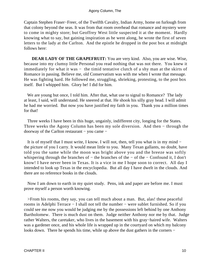Captain Stephen Fraser−Freer, of the Twelfth Cavalry, Indian Army, home on furlough from that colony beyond the seas. It was from that room overhead that romance and mystery were to come in mighty store; but Geoffrey West little suspected it at the moment. Hardly knowing what to say, but gaining inspiration as he went along, he wrote the first of seven letters to the lady at the Carlton. And the epistle he dropped in the post box at midnight follows here:

**DEAR LADY OF THE GRAPEFRUIT:** You are very kind. Also, you are wise. Wise, because into my clumsy little Personal you read nothing that was not there. You knew it immediately for what it was − the timid tentative clutch of a shy man at the skirts of Romance in passing. Believe me, old Conservatism was with me when I wrote that message. He was fighting hard. He followed me, struggling, shrieking, protesting, to the post box itself. But I whipped him. Glory be! I did for him.

We are young but once, I told him. After that, what use to signal to Romance? The lady at least, I said, will understand. He sneered at that. He shook his silly gray head. I will admit he had me worried. But now you have justified my faith in you. Thank you a million times for that!

 Three weeks I have been in this huge, ungainly, indifferent city, longing for the States. Three weeks the Agony Column has been my sole diversion. And then − through the doorway of the Carlton restaurant − you came −

 It is of myself that I must write, I know. I will not, then, tell you what is in my mind − the picture of you I carry. It would mean little to you. Many Texan gallants, no doubt, have told you the same while the moon was bright above you and the breeze was softly whispering through the branches of − the branches of the − of the − Confound it, I don't know! I have never been in Texas. It is a vice in me I hope soon to correct. All day I intended to look up Texas in the encyclopedia. But all day I have dwelt in the clouds. And there are no reference books in the clouds.

 Now I am down to earth in my quiet study. Pens, ink and paper are before me. I must prove myself a person worth knowing.

 >From his rooms, they say, you can tell much about a man. But, alas! these peaceful rooms in Adelphi Terrace − I shall not tell the number − were sublet furnished. So if you could see me now you would be judging me by the possessions left behind by one Anthony Bartholomew. There is much dust on them. Judge neither Anthony nor me by that. Judge rather Walters, the caretaker, who lives in the basement with his gray−haired wife. Walters was a gardener once, and his whole life is wrapped up in the courtyard on which my balcony looks down. There he spends his time, while up above the dust gathers in the corners −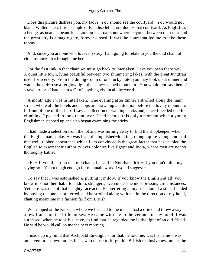Does this picture distress you, my lady? You should see the courtyard! You would not blame Walters then. It is a sample of Paradise left at our door − that courtyard. As English as a hedge, as neat, as beautiful. London is a roar somewhere beyond; between our court and the great city is a magic gate, forever closed. It was the court that led me to take these rooms.

 And, since you are one who loves mystery, I am going to relate to you the odd chain of circumstances that brought me here.

 For the first link in that chain we must go back to Interlaken. Have you been there yet? A quiet little town, lying beautiful between two shimmering lakes, with the great Jungfrau itself for scenery. From the dining−room of one lucky hotel you may look up at dinner and watch the old−rose afterglow light the snow−capped mountain. You would not say then of strawberries: «I hate them.» Or of anything else in all the world.

 A month ago I was in Interlaken. One evening after dinner I strolled along the main street, where all the hotels and shops are drawn up at attention before the lovely mountain. In front of one of the shops I saw a collection of walking sticks and, since I needed one for climbing, I paused to look them over. I had been at this only a moment when a young Englishman stepped up and also began examining the sticks.

 I had made a selection from the lot and was turning away to find the shopkeeper, when the Englishman spoke. He was lean, distinguished−looking, though quite young, and had that well−tubbed appearance which I am convinced is the great factor that has enabled the English to assert their authority over colonies like Egypt and India, where men are not so thoroughly bathed.

 «Er − if you'll pardon me, old chap,» he said. «Not that stick − if you don't mind my saying so. It's not tough enough for mountain work. I would suggest  $-\infty$ 

 To say that I was astonished is putting it mildly. If you know the English at all, you know it is not their habit to address strangers, even under the most pressing circumstances. Yet here was one of that haughty race actually interfering in my selection of a stick. I ended by buying the one he preferred, and he strolled along with me in the direction of my hotel, chatting meantime in a fashion far from British.

We stopped at the Kursaal, where we listened to the music, had a drink and threw away a few francs on the little horses. He came with me to the veranda of my hotel. I was surprised, when he took his leave, to find that he regarded me in the light of an old friend. He said he would call on me the next morning.

 I made up my mind that Archibald Enwright − for that, he told me, was his name − was an adventurer down on his luck, who chose to forget his British exclusiveness under the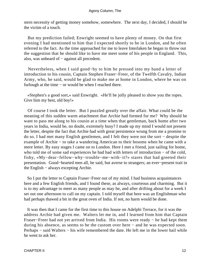stern necessity of getting money somehow, somewhere. The next day, I decided, I should be the victim of a touch.

 But my prediction failed; Enwright seemed to have plenty of money. On that first evening I had mentioned to him that I expected shortly to be in London, and he often referred to the fact. As the time approached for me to leave Interlaken he began to throw out the suggestion that he should like to have me meet some of his people in England. This, also, was unheard of − against all precedent.

 Nevertheless, when I said good−by to him he pressed into my hand a letter of introduction to his cousin, Captain Stephen Fraser−Freer, of the Twelfth Cavalry, Indian Army, who, he said, would be glad to make me at home in London, where he was on furlough at the time − or would be when I reached there.

 «Stephen's a good sort,» said Enwright. «He'll be jolly pleased to show you the ropes. Give him my best, old boy!»

 Of course I took the letter. But I puzzled greatly over the affair. What could be the meaning of this sudden warm attachment that Archie had formed for me? Why should he want to pass me along to his cousin at a time when that gentleman, back home after two years in India, would be, no doubt, extremely busy? I made up my mind I would not present the letter, despite the fact that Archie had with great persistence wrung from me a promise to do so. I had met many English gentlemen, and I felt they were not the sort − despite the example of Archie − to take a wandering American to their bosoms when he came with a mere letter. By easy stages I came on to London. Here I met a friend, just sailing for home, who told me of some sad experiences he had had with letters of introduction − of the cold, fishy, «My−dear−fellow−why−trouble−me−with−it?» stares that had greeted their presentation. Good−hearted men all, he said, but averse to strangers; an ever−present trait in the English − always excepting Archie.

 So I put the letter to Captain Fraser−Freer out of my mind. I had business acquaintances here and a few English friends, and I found these, as always, courteous and charming. But it is to my advantage to meet as many people as may be, and after drifting about for a week I set out one afternoon to call on my captain. I told myself that here was an Englishman who had perhaps thawed a bit in the great oven of India. If not, no harm would be done.

 It was then that I came for the first time to this house on Adelphi Terrace, for it was the address Archie had given me. Walters let me in, and I learned from him that Captain Fraser−Freer had not yet arrived from India. His rooms were ready − he had kept them during his absence, as seems to be the custom over here − and he was expected soon. Perhaps – said Walters – his wife remembered the date. He left me in the lower hail while he went to ask her.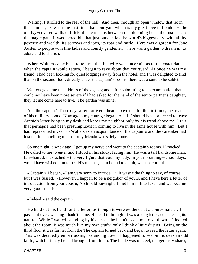Waiting, I strolled to the rear of the hall. And then, through an open window that let in the summer, I saw for the first time that courtyard which is my great love in London − the old ivy−covered walls of brick; the neat paths between the blooming beds; the rustic seat; the magic gate. It was incredible that just outside lay the world's biggest city, with all its poverty and wealth, its sorrows and joys, its roar and rattle. Here was a garden for Jane Austen to people with fine ladies and courtly gentlemen − here was a garden to dream in, to adore and to cherish.

 When Walters came back to tell me that his wife was uncertain as to the exact date when the captain would return, I began to rave about that courtyard. At once he was my friend. I had been looking for quiet lodgings away from the hotel, and I was delighted to find that on the second floor, directly under the captain' s rooms, there was a suite to be sublet.

 Walters gave me the address of the agents; and, after submitting to an examination that could not have been more severe if I had asked for the hand of the senior partner's daughter, they let me come here to live. The garden was mine!

 And the captain? Three days after I arrived I heard above me, for the first time, the tread of his military boots. Now again my courage began to fail. I should have preferred to leave Archie's letter lying in my desk and know my neighbor only by his tread above me. I felt that perhaps I had been presumptuous in coming to live in the same house with him. But I had represented myself to Walters as an acquaintance of the captain's and the caretaker had lost no time in telling me that «my friend» was safely home.

 So one night, a week ago, I got up my nerve and went to the captain's rooms. I knocked. He called to me to enter and I stood in his study, facing him. He was a tall handsome man, fair−haired, mustached − the very figure that you, my lady, in your boarding−school days, would have wished him to be. His manner, I am bound to admit, was not cordial.

 «Captain,» I began, «I am very sorry to intrude − » It wasn't the thing to say, of course, but I was fussed. «However, I happen to be a neighbor of yours, and I have here a letter of introduction from your cousin, Archibald Enwright. I met him in Interlaken and we became very good friends.»

«Indeed!» said the captain.

He held out his hand for the letter, as though it were evidence at a court–martial. 1 passed it over, wishing I hadn't come. He read it through. It was a long letter, considering its nature. While I waited, standing by his desk − he hadn't asked me to sit down − I looked about the room. It was much like my own study, only I think a little dustier. Being on the third floor it was farther from the The captain turned back and began to read the letter again. This was decidedly embarrassing. Glancing down, I happened to see on his desk an odd knife, which I fancy he had brought from India. The blade was of steel, dangerously sharp,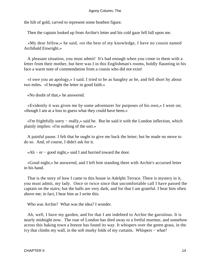the hilt of gold, carved to represent some heathen figure.

Then the captain looked up from Archie's letter and his cold gaze fell full upon me.

 «My dear fellow,» he said, «to the best of my knowledge, I have no cousin named Archibald Enwright.»

 A pleasant situation, you must admit! It's bad enough when you come to them with a letter from their mother, but here was I in this Englishman's rooms, boldly flaunting in his face a warm note of commendation from a cousin who did not exist!

 «I owe you an apology,» I said. I tried to be as haughty as he, and fell short by about two miles. «I brought the letter in good faith.»

«No doubt of that,» he answered.

 «Evidently it was given me by some adventurer for purposes of his own,» I went on; «though I am at a loss to guess what they could have been.»

 «I'm frightfully sorry − really,» said he. But he said it with the London inflection, which plainly implies: «I'm nothing of the sort.»

 A painful pause. I felt that he ought to give me back the letter; but he made no move to do so. And, of course, I didn't ask for it.

«Ah − er − good night,» said I and hurried toward the door.

 «Good night,» he answered, and I left him standing there with Archie's accursed letter in his hand.

 That is the story of how I came to this house in Adelphi Terrace. There is mystery in it, you must admit, my lady. Once or twice since that uncomfortable call I have passed the captain on the stairs; but the halls are very dark, and for that I am grateful. I hear him often above me; in fact, I hear him as I write this.

Who was Archie? What was the idea? I wonder.

 Ah, well, I have my garden, and for that I am indebted to Archie the garrulous. It is nearly midnight now. The roar of London has died away to a fretful murmur, and somehow across this baking town a breeze has found its way. It whispers over the green grass, in the ivy that climbs my wall, in the soft murky folds of my curtains. Whispers − what?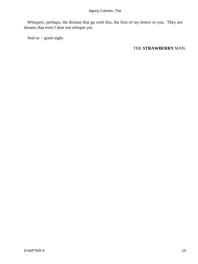Whispers, perhaps, the dreams that go with this, the first of my letters to you. They are dreams that even I dare not whisper yet.

And so − good night.

#### THE **STRAWBERRY** MAN.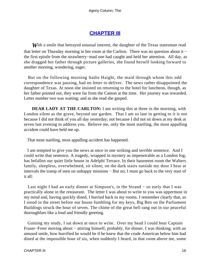## **[CHAPTER III](#page-66-0)**

<span id="page-16-0"></span>**W**ith a smile that betrayed unusual interest, the daughter of the Texas statesman read that letter on Thursday morning in her room at the Carlton. There was no question about it − the first epistle from the strawberry−mad one had caught and held her attention. All day, as she dragged her father through picture galleries, she found herself looking forward to another morning, wondering, eager.

 But on the following morning Sadie Haight, the maid through whom this odd correspondence was passing, had no letter to deliver. The news rather disappointed the daughter of Texas. At noon she insisted on returning to the hotel for luncheon, though, as her father pointed out, they were far from the Canton at the time. Her journey was rewarded. Letter number two was waiting; and as she read she gasped.

**DEAR LADY AT THE CARLTON:** I am writing this at three in the morning, with London silent as the grave, beyond our garden. That I am so late in getting to it is not because I did not think of you all day yesterday; not because I did not sit down at my desk at seven last evening to address you. Believe me, only the most startling, the most appalling accident could have held me up.

That most startling, most appalling accident has happened.

 I am tempted to give you the news at once in one striking and terrible sentence. And I could write that sentence. A tragedy, wrapped in mystery as impenetrable as a London fog, has befallen our quiet little house in Adelphi Terrace. In their basement room the Walters family, sleepless, overwhelmed, sit silent; on the dark stairs outside my door I hear at intervals the tramp of men on unhappy missions − But no; I must go back to the very start of it all:

 Last night I had an early dinner at Simpson's, in the Strand − so early that I was practically alone in the restaurant. The letter I was about to write to you was uppermost in my mind and, having quickly dined, I hurried back to my rooms. I remember clearly that, as I stood in the street before our house fumbling for my keys, Big Ben on the Parliament Buildings struck the hour of seven. The chime of the great bell rang out in our peaceful thoroughfare like a loud and friendly greeting.

 Gaining my study, I sat down at once to write. Over my head I could hear Captain Fraser–Freer moving about – attiring himself, probably, for dinner. I was thinking, with an amused smile, how horrified he would be if he knew that the crude American below him had dined at the impossible hour of six, when suddenly I heard, in that room above me, some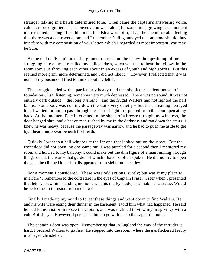stranger talking in a harsh determined tone. Then came the captain's answering voice, calmer, more dignified. This conversation went along for some time, growing each moment more excited. Though I could not distinguish a word of it, I had the uncomfortable feeling that there was a controversy on; and I remember feeling annoyed that any one should thus interfere with my composition of your letter, which I regarded as most important, you may be Sure.

 At the end of five minutes of argument there came the heavy thump−thump of men struggling above me. It recalled my college days, when we used to hear the fellows in the room above us throwing each other about in an excess of youth and high spirits. But this seemed more grim, more determined, and I did not like it. − However, I reflected that it was none of my business. I tried to think about my letter.

 The struggle ended with a particularly heavy thud that shook our ancient house to its foundations. I sat listening, somehow very much depressed. There was no sound. It was not entirely dark outside – the long twilight – and the frugal Walters had not lighted the hall lamps. Somebody was coming down the stairs very quietly − but their creaking betrayed him. I waited for him to pass through the shaft of light that poured from the door open at my back. At that moment Fate intervened in the shape of a breeze through my windows, the door banged shut, and a heavy man rushed by me in the darkness and ran down the stairs. I knew he was heavy, because the passageway was narrow and he had to push me aside to get by. I heard him swear beneath his breath.

 Quickly I went to a hall window at the far end that looked out on the street. But the front door did not open; no one came out. I was puzzled for a second then I reentered my room and hurried to my balcony. I could make out the dim figure of a man running through the garden at the rear − that garden of which I have so often spoken. He did not try to open the gate; he climbed it, and so disappeared from sight into the alley.

 For a moment I considered. These were odd actions, surely; but was it my place to interfere? I remembered the cold stare in the eyes of Captain Fraser−Freer when I presented that letter. I saw him standing motionless in his murky study, as amiable as a statue. Would he welcome an intrusion from me now?

 Finally I made up my mind to forget these things and went down to find Walters. He and his wife were eating their dinner in the basement. I told him what had happened. He said he had let no visitor in to see the captain, and was inclined to view my misgivings with a cold British eye. However, I persuaded him to go with me to the captain's rooms.

 The captain's door was open. Remembering that in England the way of the intruder is hard, I ordered Walters to go first. He stepped into the room, where the gas flickered feebly in an aged chandelier.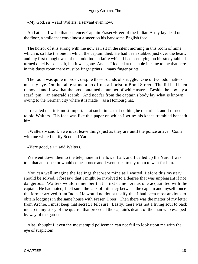«My God, sir!» said Walters, a servant even now.

 And at last I write that sentence: Captain Fraser−Freer of the Indian Army lay dead on the floor, a smile that was almost a sneer on his handsome English face!

 The horror of it is strong with me now as I sit in the silent morning in this room of mine which is so like the one in which the captain died. He had been stabbed just over the heart, and my first thought was of that odd Indian knife which I had seen lying on his study table. I turned quickly to seek it, but it was gone. And as I looked at the table it came to me that here in this dusty room there must be finger prints − many finger prints.

 The room was quite in order, despite those sounds of struggle. One or two odd matters met my eye. On the table stood a box from a florist in Bond Street. The lid had been removed and I saw that the box contained a number of white asters. Beside the box lay a scarf−pin – an emerald scarab. And not far from the captain's body lay what is known – owing to the German city where it is made − as a Homburg hat.

 I recalled that it is most important at such times that nothing be disturbed, and I turned to old Walters. His face was like this paper on which I write; his knees trembled beneath him.

 «Walters,» said I, «we must leave things just as they are until the police arrive. Come with me while I notify Scotland Yard.»

«Very good, sir,» said Walters.

We went down then to the telephone in the lower hall, and I called up the Yard. I was told that an inspector would come at once and I went back to my room to wait for him.

 You can well imagine the feelings that were mine as I waited. Before this mystery should be solved, I foresaw that I might be involved to a degree that was unpleasant if not dangerous. Walters would remember that I first came here as one acquainted with the captain. He had noted, I felt sure, the lack of intimacy between the captain and myself, once the former arrived from India. He would no doubt testify that I had been most anxious to obtain lodgings in the same house with Fraser−Freer. Then there was the matter of my letter from Archie. I must keep that secret, I felt sure. Lastly, there was not a living soul to back me up in my story of the quarrel that preceded the captain's death, of the man who escaped by way of the garden.

 Alas, thought I, even the most stupid policeman can not fail to look upon me with the eye of suspicion!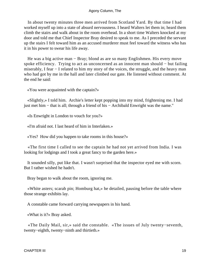In about twenty minutes three men arrived from Scotland Yard. By that time I had worked myself up into a state of absurd nervousness. I heard Walters let them in; heard them climb the stairs and walk about in the room overhead. In a short time Walters knocked at my door and told me that Chief Inspector Bray desired to speak to me. As I preceded the servant up the stairs I felt toward him as an accused murderer must feel toward the witness who has it in his power to swear his life away.

He was a big active man – Bray; blond as are so many Englishmen. His every move spoke efficiency. Trying to act as unconcerned as an innocent man should – but failing miserably, I fear − I related to him my story of the voices, the struggle, and the heavy man who had got by me in the hall and later climbed our gate. He listened without comment. At the end he said:

«You were acquainted with the captain?»

 «Slightly,» I told him. Archie's letter kept popping into my mind, frightening me. I had just met him − that is all; through a friend of his − Archibald Enwright was the name."

«Is Enwright in London to vouch for you?»

«I'm afraid not. I last heard of him in Interlaken.»

«Yes? How did you happen to take rooms in this house?»

 «The first time I called to see the captain he had not yet arrived from India. I was looking for lodgings and I took a great fancy to the garden here.»

 It sounded silly, put like that. I wasn't surprised that the inspector eyed me with scorn. But I rather wished he hadn't.

Bray began to walk about the room, ignoring me.

 «White asters; scarab pin; Homburg hat,» he detailed, pausing before the table where those strange exhibits lay.

A constable came forward carrying newspapers in his hand.

«What is it?» Bray asked.

 «The Daily Mail, sir,» said the constable. «The issues of July twenty−seventh, twenty−eighth, twenty−ninth and thirtieth.»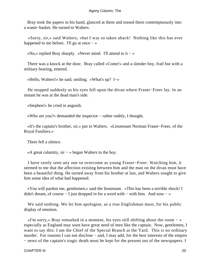Bray took the papers in his hand, glanced at them and tossed them contemptuously into a waste−basket. He turned to Walters.

 «Sorry, sir,» said Walters; «but I was so taken aback! Nothing like this has ever happened to me before. I'll go at once  $-\infty$ 

«No,» replied Bray sharply. «Never mind. I'll attend to it − »

 There was a knock at the door. Bray called «Come!» and a slender boy, frail but with a military bearing, entered.

«Hello, Walters!» he said, smiling. «What's up? I−»

 He stopped suddenly as his eyes fell upon the divan where Fraser−Freer lay. In an instant he was at the dead man's side.

«Stephen!» he cried in anguish.

«Who are you?» demanded the inspector − rather rudely, I thought.

 «It's the captain's brother, sir,» put in Walters. «Lieutenant Norman Fraser−Freer, of the Royal Fusiliers.»

There fell a silence.

«A great calamity, sir − » began Walters to the boy.

 I have rarely seen any one so overcome as young Fraser−Freer. Watching him, it seemed to me that the affection existing between him and the man on the divan must have been a beautiful thing. He turned away from his brother at last, and Walters sought to give him some idea of what had happened.

 «You will pardon me, gentlemen,» said the lieutenant. «This has been a terrible shock! I didn't dream, of course − I just dropped in for a word with − with him. And now − »

 We said nothing. We let him apologize, as a true Englishman must, for his public display of emotion.

 «I'm sorry,» Bray remarked in a moment, his eyes still shifting about the room − « especially as England may soon have great need of men like the captain. Now, gentlemen, I want to say this: I am the Chief of the Special Branch at the Yard. This is no ordinary murder. For reasons I can not disclose – and, I may add, for the best interests of the empire − news of the captain's tragic death must be kept for the present out of the newspapers. I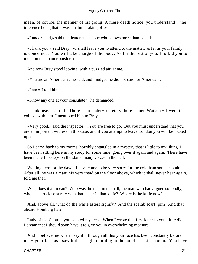mean, of course, the manner of his going. A mere death notice, you understand − the inference being that it was a natural taking off.»

«I understand,» said the lieutenant, as one who knows more than he tells.

 «Thank you,» said Bray. «I shall leave you to attend to the matter, as far as your family is concerned. You will take charge of the body. As for the rest of you, I forbid you to mention this matter outside.»

And now Bray stood looking, with a puzzled air, at me.

«You are an American?» he said, and I judged he did not care for Americans.

«I am,» I told him.

«Know any one at your consulate?» he demanded.

 Thank heaven, I did! There is an under−secretary there named Watson − I went to college with him. I mentioned him to Bray.

 «Very good,» said the inspector. «You are free to go. But you must understand that you are an important witness in this case, and if you attempt to leave London you will be locked up.»

 So I came back to my rooms, horribly entangled in a mystery that is little to my liking. I have been sitting here in my study for some time, going over it again and again. There have been many footsteps on the stairs, many voices in the hall.

 Waiting here for the dawn, I have come to be very sorry for the cold handsome captain. After all, he was a man; his very tread on the floor above, which it shall never hear again, told me that.

What does it all mean? Who was the man in the hall, the man who had argued so loudly, who had struck so surely with that queer Indian knife? Where is the knife now?

 And, above all, what do the white asters signify? And the scarab scarf−pin? And that absurd Homburg hat?

 Lady of the Canton, you wanted mystery. When I wrote that first letter to you, little did I dream that I should soon have it to give you in overwhelming measure.

And – believe me when I say it – through all this your face has been constantly before me − your face as I saw it that bright morning in the hotel breakfast room. You have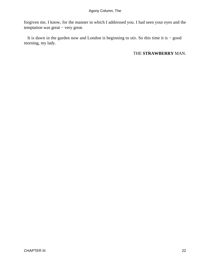forgiven me, I know, for the manner in which I addressed you. I had seen your eyes and the temptation was great − very great.

 It is dawn in the garden now and London is beginning to stir. So this time it is − good morning, my lady.

#### THE **STRAWBERRY** MAN.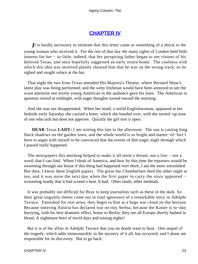## **[CHAPTER IV](#page-66-0)**

<span id="page-23-0"></span>*I*t is hardly necessary to intimate that this letter came as something of a shock to the young woman who received it. For the rest of that day the many sights of London held little interest for her − so little, indeed, that her perspiring father began to see visions of his beloved Texas; and once hopefully suggested an early return home. The coolness with which this idea was received plainly showed him that he was on the wrong track; so he sighed and sought solace at the bar.

 That night the two from Texas attended His Majesty's Theater, where Bernard Shaw's latest play was being performed; and the witty Irishman would have been annoyed to see the scant attention one lovely young American in the audience gave his lines. The American in question retired at midnight, with eager thoughts turned toward the morning.

 And she was not disappointed. When her maid, a stolid Englishwoman, appeared at her bedside early Saturday she carried a letter, which she handed over, with the turned−up nose of one who aids but does not approve. Quickly the girl tore it open.

**DEAR** Texas **LADY:** I am writing this late in the afternoon. The sun is casting long black shadows on the garden lawn, and the whole world is so bright and matter−of−fact I have to argue with myself to be convinced that the events of that tragic night through which I passed really happened.

 The newspapers this morning helped to make it all seem a dream; not a line − not a word, that I can find. When I think of America, and how by this time the reporters would be swarming through our house if this thing had happened over there, I am the more astonished. But then, I know these English papers. The great Joe Chamberlain died the other night at ten, and it was noon the next day when the first paper to carry the story appeared − screaming loudly that it had scored a beat. It had. Other lands, other methods.

 It was probably not difficult for Bray to keep journalists such as these in the dark. So their great ungainly sheets come out in total ignorance of a remarkable story in Adelphi Terrace. Famished for real news, they begin to hint at a huge war cloud on the horizon. Because tottering Austria has declared war on tiny Serbia, because the Kaiser is to−day hurrying, with his best dramatic effect, home to Berlin, they see all Europe shortly bathed in blood. A nightmare born of torrid days and tossing nights!

 But it is of the affair in Adelphi Terrace that you no doubt want to hear. One sequel of the tragedy, which adds immeasurably to the mystery of it all, has occurred, and I alone am responsible for its discovery. But to go back: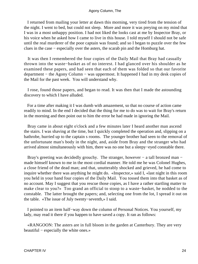I returned from mailing your letter at dawn this morning, very tired from the tension of the night. I went to bed, but could not sleep. More and more it was preying on my mind that I was in a most unhappy position. I had not liked the looks cast at me by Inspector Bray, or his voice when he asked how I came to live in this house. I told myself I should not be safe until the real murderer of the poor captain was found; and so I began to puzzle over the few clues in the case − especially over the asters, the scarab pin and the Homburg hat.

 It was then I remembered the four copies of the Daily Mail that Bray had casually thrown into the waste−basket as of no interest. I had glanced over his shoulder as he examined these papers, and had seen that each of them was folded so that our favorite department − the Agony Column − was uppermost. It happened I had in my desk copies of the Mail for the past week. You will understand why.

 I rose, found those papers, and began to read. It was then that I made the astounding discovery to which I have alluded.

 For a time after making it I was dumb with amazement, so that no course of action came readily to mind. In the end I decided that the thing for me to do was to wait for Bray's return in the morning and then point out to him the error he had made in ignoring the Mail.

 Bray came in about eight o'clock and a few minutes later I heard another man ascend the stairs. I was shaving at the time, but I quickly completed the operation and, slipping on a bathrobe, hurried up to the captain s rooms. The younger brother had seen to the removal of the unfortunate man's body in the night, and, aside from Bray and the stranger who had arrived almost simultaneously with him, there was no one but a sleepy−eyed constable there.

Bray's greeting was decidedly grouchy. The stranger, however – a tall bronzed man – made himself known to me in the most cordial manner. He told me he was Colonel Hughes, a close friend of the dead man; and that, unutterably shocked and grieved, he had come to inquire whether there was anything he might do. «Inspector,» said I, «last night in this room you held in your hand four copies of the Daily Mail. You tossed them into that basket as of no account. May I suggest that you rescue those copies, as I have a rather startling matter to make clear to you?» Too grand an official to stoop to a waste−basket, he nodded to the constable. The latter brought the papers; and, selecting one from the lot, I spread it out on the table. «The issue of July twenty−seventh,» I said.

 I pointed to an item half−way down the column of Personal Notices. You yourself, my lady, may read it there if you happen to have saved a copy. It ran as follows:

 «RANGOON: The asters are in full bloom in the garden at Canterbury. They are very beautiful − especially the white ones.»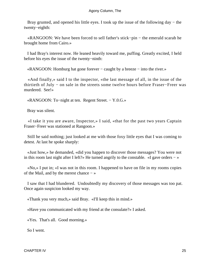Bray grunted, and opened his little eyes. I took up the issue of the following day − the twenty−eighth:

 «RANGOON: We have been forced to sell father's stick−pin − the emerald scarab he brought home from Cairo.»

 I had Bray's interest now. He leaned heavily toward me, puffing. Greatly excited, I held before his eyes the issue of the twenty−ninth:

«RANGOON: Homburg hat gone forever − caught by a breeze − into the river.»

 «And finally,» said I to the inspector, «the last message of all, in the issue of the thirtieth of July − on sale in the streets some twelve hours before Fraser−Freer was murdered. See!»

«RANGOON: To−night at ten. Regent Street. − Y.0.G.»

Bray was silent.

 «I take it you are aware, Inspector,» I said, «that for the past two years Captain Fraser−Freer was stationed at Rangoon.»

 Still he said nothing; just looked at me with those foxy little eyes that I was coming to detest. At last he spoke sharply:

 «Just how,» he demanded, «did you happen to discover those messages? You were not in this room last night after I left?» He turned angrily to the constable. «I gave orders − »

 «No,» I put in; «I was not in this room. I happened to have on file in my rooms copies of the Mail, and by the merest chance − »

 I saw that I had blundered. Undoubtedly my discovery of those messages was too pat. Once again suspicion looked my way.

«Thank you very much,» said Bray. «I'll keep this in mind.»

«Have you communicated with my friend at the consulate?» I asked.

«Yes. That's all. Good morning.»

So I went.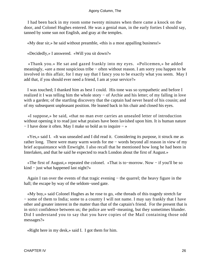I had been back in my room some twenty minutes when there came a knock on the door, and Colonel Hughes entered. He was a genial man, in the early forties I should say, tanned by some sun not English, and gray at the temples.

«My dear sir,» he said without preamble, «this is a most appalling business!»

«Decidedly,» I answered. «Will you sit down?»

 «Thank you.» He sat and gazed frankly into my eyes. «Policemen,» he added meaningly, «are a most suspicious tribe − often without reason. I am sorry you happen to be involved in this affair, for I may say that I fancy you to be exactly what you seem. May I add that, if you should ever need a friend, I am at your service?»

 I was touched; I thanked him as best I could. His tone was so sympathetic and before I realized it I was telling him the whole story − of Archie and his letter; of my falling in love with a garden; of the startling discovery that the captain had never heard of his cousin; and of my subsequent unpleasant position. He leaned back in his chair and closed his eyes.

 «I suppose,» he said, «that no man ever carries an unsealed letter of introduction without opening it to read just what praises have been lavished upon him. It is human nature − I have done it often. May I make so bold as to inquire − »

 «Yes,» said I. «It was unsealed and I did read it. Considering its purpose, it struck me as rather long. There were many warm words for me − words beyond all reason in view of my brief acquaintance with Enwright. I also recall that he mentioned how long he had been in Interlaken, and that he said he expected to reach London about the first of August.»

 «The first of August,» repeated the colonel. «That is to−morrow. Now − if you'll be so kind − just what happened last night?»

 Again I ran over the events of that tragic evening − the quarrel; the heavy figure in the hall; the escape by way of the seldom−used gate.

 «My boy,» said Colonel Hughes as he rose to go, «the threads of this tragedy stretch far − some of them to India; some to a country I will not name. I may say frankly that I have other and greater interest in the matter than that of the captain's friend. For the present that is in strict confidence between us; the police are well−meaning, but they sometimes blunder. Did I understand you to say that you have copies of the Mail containing those odd messages?»

«Right here in my desk,» said I. I got them for him.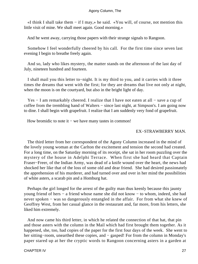«I think I shall take them − if I may,» he said. «You will, of course, not mention this little visit of mine. We shall meet again. Good morning.»

And he went away, carrying those papers with their strange signals to Rangoon.

 Somehow I feel wonderfully cheered by his call. For the first time since seven last evening I begin to breathe freely again.

 And so, lady who likes mystery, the matter stands on the afternoon of the last day of July, nineteen hundred and fourteen.

 I shall mail you this letter to−night. It is my third to you, and it carries with it three times the dreams that went with the first; for they are dreams that live not only at night, when the moon is on the courtyard, but also in the bright light of day.

 Yes − I am remarkably cheered. I realize that I have not eaten at all − save a cup of coffee from the trembling hand of Walters − since last night, at Simpson's. I am going now to dine. I shall begin with grapefruit. I realize that I am suddenly very fond of grapefruit.

How bromidic to note it – we have many tastes in common!

#### EX−STRAWBERRY MAN.

 The third letter from her correspondent of the Agony Column increased in the mind of the lovely young woman at the Carlton the excitement and tension the second had created. For a long time, on the Saturday morning of its receipt, she sat in her room puzzling over the mystery of the house in Adelphi Terrace. When first she had heard that Captain Fraser−Freer, of the Indian Army, was dead of a knife wound over the heart, the news had shocked her like that of the loss of some old and dear friend. She had desired passionately the apprehension of his murderer, and had turned over and over in her mind the possibilities of white asters, a scarab pin and a Homburg hat.

 Perhaps the girl longed for the arrest of the guilty man thus keenly because this jaunty young friend of hers − a friend whose name she did not know − to whom, indeed, she had never spoken – was so dangerously entangled in the affair. For from what she knew of Geoffrey West, from her casual glance in the restaurant and, far more, from his letters, she liked him extremely.

 And now came his third letter, in which he related the connection of that hat, that pin and those asters with the column in the Mail which had first brought them together. As it happened, she, too, had copies of the paper for the first four days of the week. She went to her sitting−room, unearthed these copies, and − gasped! For from the column in Monday's paper stared up at her the cryptic words to Rangoon concerning asters in a garden at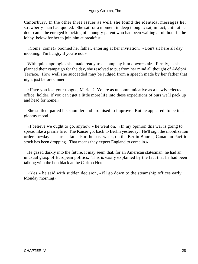Canterbury. In the other three issues as well, she found the identical messages her strawberry man had quoted. She sat for a moment in deep thought; sat, in fact, until at her door came the enraged knocking of a hungry parent who had been waiting a full hour in the lobby below for her to join him at breakfast.

 «Come, come!» boomed her father, entering at her invitation. «Don't sit here all day mooning. I'm hungry if you're not.»

 With quick apologies she made ready to accompany him down−stairs. Firmly, as she planned their campaign for the day, she resolved to put from her mind all thought of Adelphi Terrace. How well she succeeded may be judged from a speech made by her father that night just before dinner:

 «Have you lost your tongue, Marian? You're as uncommunicative as a newly−elected office−holder. If you can't get a little more life into these expeditions of ours we'll pack up and head for home.»

 She smiled, patted his shoulder and promised to improve. But he appeared to be in a gloomy mood.

 «I believe we ought to go, anyhow,» he went on. «In my opinion this war is going to spread like a prairie fire. The Kaiser got back to Berlin yesterday. He'll sign the mobilization orders to−day as sure as fate. For the past week, on the Berlin Bourse, Canadian Pacific stock has been dropping. That means they expect England to come in.»

 He gazed darkly into the future. It may seem that, for an American statesman, he had an unusual grasp of European politics. This is easily explained by the fact that he had been talking with the bootblack at the Carlton Hotel.

 «Yes,» he said with sudden decision, «I'll go down to the steamship offices early Monday morning»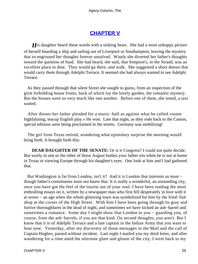## **[CHAPTER V](#page-66-0)**

<span id="page-29-0"></span>*H* is daughter heard these words with a sinking heart. She had a most unhappy picture of herself boarding a ship and sailing out of Liverpool or Southampton, leaving the mystery that so engrossed her thoughts forever unsolved. Wisely she diverted her father's thoughts toward the question of food. She had heard, she said, that Simpson's, in the Strand, was an excellent place to dine. They would go there, and walk. She suggested a short detour that would carry them through Adelphi Terrace. It seemed she had always wanted to see Adelphi Terrace.

 As they passed through that silent Street she sought to guess, from an inspection of the grim forbidding house fronts, back of which lay the lovely garden, the romantic mystery. But the houses were so very much like one another. Before one of them, she noted, a taxi waited.

 After dinner her father pleaded for a music−hall as against what he called «some highfaluting, teacup English play.» He won. Late that night, as they rode back to the Canton, special editions were being proclaimed in the streets. Germany was mobilizing!

 The girl from Texas retired, wondering what epistolary surprise the morning would bring forth. It brought forth this:

**DEAR DAUGHTER OF THE SENATE:** Or is it Congress? I could not quite decide. But surely in one or the other of those August bodies your father sits when he is not at home in Texas or viewing Europe through his daughter's eyes. One look at him and I had gathered that.

 But Washington is far from London, isn't it? And it is London that interests us most − though father's constituents must not know that. It is really a wonderful, an astounding city, once you have got the feel of the tourist out of your soul. I have been reading the most enthralling essays on it, written by a newspaper man who first fell desperately in love with it at seven − an age when the whole glittering town was symbolized for him by the fried−fish shop at the corner of the High Street. With him I have been going through its gray and furtive thoroughfares in the dead of night, and sometimes we have kicked an ash−barrel and sometimes a romance. Some day I might show that London to you − guarding you, of course, from the ash−barrels, if you are that kind. On second thoughts, you aren't. But I know that it is of Adelphi Terrace and a late captain in the Indian Army that you want to hear now. Yesterday, after my discovery of those messages in the Mail and the call of Captain Hughes, passed without incident. Last night I mailed you my third letter, and after wandering for a time amid the alternate glare and gloom of the city, I went back to my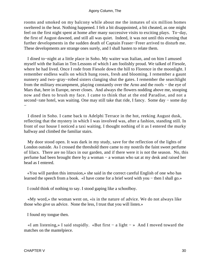rooms and smoked on my balcony while about me the inmates of six million homes sweltered in the heat. Nothing happened. I felt a bit disappointed, a bit cheated, as one might feel on the first night spent at home after many successive visits to exciting plays. To−day, the first of August dawned, and still all was quiet. Indeed, it was not until this evening that further developments in the sudden death of Captain Fraser−Freer arrived to disturb me. These developments are strange ones surely, and I shall hasten to relate them.

 I dined to−night at a little place in Soho. My waiter was Italian, and on him I amused myself with the Italian in Ten Lessons of which I am foolishly proud. We talked of Fiesole, where he had lived. Once I rode from Fiesole down the hill to Florence in the moonlight. I remember endless walls on which hung roses, fresh and blooming. I remember a gaunt nunnery and two−gray−robed sisters clanging shut the gates. I remember the searchlight from the military encampment, playing constantly over the Arno and the roofs − the eye of Mars that, here in Europe, never closes. And always the flowers nodding above me, stooping now and then to brush my face. I came to think that at the end Paradise, and not a second–rate hotel, was waiting. One may still take that ride, I fancy. Some day – some day −

 I dined in Soho. I came back to Adelphi Terrace in the hot, reeking August dusk, reflecting that the mystery in which I was involved was, after a fashion, standing still. In front of our house I noticed a taxi waiting. I thought nothing of it as I entered the murky hallway and climbed the familiar stairs.

 My door stood open. It was dark in my study, save for the reflection of the lights of London outside. As I crossed the threshold there came to my nostrils the faint sweet perfume of lilacs. There are no lilacs in our garden, and if there were it is not the season. No, this perfume had been brought there by a woman − a woman who sat at my desk and raised her head as I entered.

 «You will pardon this intrusion,» she said in the correct careful English of one who has learned the speech from a book. «I have come for a brief word with you – then I shall go.»

I could think of nothing to say. I stood gaping like a schoolboy.

 «My word,» the woman went on, «is in the nature of advice. We do not always like those who give us advice. None the less, I trust that you will listen.»

I found my tongue then.

 «I am listening,» I said stupidly. «But first − a light − » And I moved toward the matches on the mantelpiece.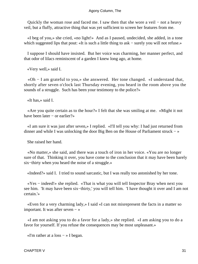Quickly the woman rose and faced me. I saw then that she wore a veil − not a heavy veil, but a fluffy, attractive thing that was yet sufficient to screen her features from me.

 «I beg of you,» she cried, «no light!» And as I paused, undecided, she added, in a tone which suggested lips that pout: «It is such a little thing to ask – surely you will not refuse.»

 I suppose I should have insisted. But her voice was charming, her manner perfect, and that odor of lilacs reminiscent of a garden I knew long ago, at home.

«Very well,» said I.

 «Oh − I am grateful to you,» she answered. Her tone changed. «I understand that, shortly after seven o'clock last Thursday evening, you heard in the room above you the sounds of a struggle. Such has been your testimony to the police?»

«It has,» said I.

 «Are you quite certain as to the hour?» I felt that she was smiling at me. «Might it not have been later − or earlier?»

 «I am sure it was just after seven,» I replied. «I'll tell you why: I had just returned from dinner and while I was unlocking the door Big Ben on the House of Parliament struck − »

She raised her hand.

 «No matter,» she said, and there was a touch of iron in her voice. «You are no longer sure of that. Thinking it over, you have come to the conclusion that it may have been barely six−thirty when you heard the noise of a struggle.»

«Indeed?» said I. I tried to sound sarcastic, but I was really too astonished by her tone.

 «Yes − indeed!» she replied. «That is what you will tell Inspector Bray when next you see him. 'It may have been six−thirty,' you will tell him. 'I have thought it over and I am not certain.'»

 «Even for a very charming lady,» I said «I can not misrepresent the facts in a matter so important. It was after seven − »

 «I am not asking you to do a favor for a lady,» she replied. «I am asking you to do a favor for yourself. If you refuse the consequences may be most unpleasant.»

«I'm rather at a loss − » I began.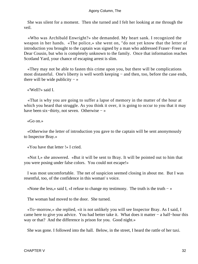She was silent for a moment. Then she turned and I felt her looking at me through the veil.

 «Who was Archibald Enwright?» she demanded. My heart sank. I recognized the weapon in her hands. «The police,» she went on, "do not yet know that the letter of introduction you brought to the captain was signed by a man who addressed Fraser−Freer as Dear Cousin, but who is completely unknown to the family. Once that information reaches Scotland Yard, your chance of escaping arrest is slim.

 «They may not be able to fasten this crime upon you, but there will be complications most distasteful. One's liberty is well worth keeping − and then, too, before the case ends, there will be wide publicity  $-$  »

«'Well?» said I.

 «That is why you are going to suffer a lapse of memory in the matter of the hour at which you heard that struggle. As you think it over, it is going to occur to you that it may have been six−thirty, not seven. Otherwise − »

«Go on.»

 «Otherwise the letter of introduction you gave to the captain will be sent anonymously to Inspector Bray.»

«You have that letter !» I cried.

 «Not I,» she answered. «But it will be sent to Bray. It will be pointed out to him that you were posing under false colors. You could not escape!»

 I was most uncomfortable. The net of suspicion seemed closing in about me. But I was resentful, too, of the confidence in this woman' s voice.

«None the less,» said I, «I refuse to change my testimony. The truth is the truth − »

The woman had moved to the door. She turned.

 «To−morrow,» she replied, «it is not unlikely you will see Inspector Bray. As I said, I came here to give you advice. You had better take it. What does it matter − a half−hour this way or that? And the difference is prison for you. Good night.»

She was gone. I followed into the hall. Below, in the street, I heard the rattle of her taxi.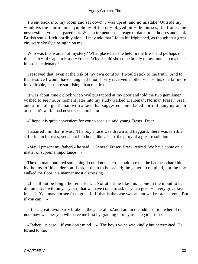I went back into my room and sat down. I was upset, and no mistake. Outside my windows the continuous symphony of the city played on − the busses, the trains, the never−silent voices. I gazed out. What a tremendous acreage of dank brick houses and dank British souls! I felt horribly alone. I may add that I felt a bit frightened, as though that great city were slowly closing in on me.

Who was this woman of mystery? What place had she held in the life – and perhaps in the death − of Captain Fraser−Freer? Why should she come boldly to my rooms to make her impossible demand?

 I resolved that, even at the risk of my own comfort, I would stick to the truth. And to that resolve I would have clung had I not shortly received another visit − this one far more inexplicable, far more surprising, than the first.

 It was about nine o'clock when Walters tapped at my door and told me two gentlemen wished to see me. A moment later into my study walked Lieutenant Norman Fraser−Freer and a fine old gentleman with a face that suggested some faded portrait hanging on an aristocrat's wall. I had never seen him before.

«I hope it is quite convenient for you to see us,» said young Fraser−Freer.

 I assured him that it was. The boy's face was drawn and haggard; there was terrible suffering in his eyes, yet about him hung, like a halo, the glory of a great resolution.

 «May I present my father?» he said. «General Fraser−Freer, retired. We have come on a matter of supreme importance − »

 The old man muttered something I could not catch. I could see that he had been hard hit by the loss of his elder son. I asked them to be seated; the general complied, but the boy walked the floor in a manner most distressing.

 «I shall not be long,» he remarked. «Nor at a time like this is one in the mood to be diplomatic. I will only say, sir, that we have come to ask of you a great − a very great favor indeed. You may not see fit to grant it. If that is the case we can not well reproach you. But if you can  $-$  »

 «It is a great favor, sir!» broke in the general. «And I am in the odd position where I do not know whether you will serve me best by granting it or by refusing to do so.»

 $\alpha$ Father – please – if you don't mind – » The boy's voice was kindly but determined. He turned to me.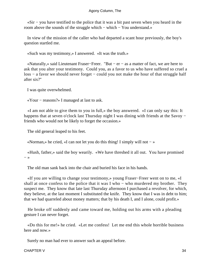«Sir − you have testified to the police that it was a bit past seven when you heard in the room above the sounds of the struggle which − which − You understand.»

 In view of the mission of the caller who had departed a scant hour previously, the boy's question startled me.

«Such was my testimony,» I answered. «It was the truth.»

 «Naturally,» said Lieutenant Fraser−Freer. "But − er − as a matter of fact, we are here to ask that you alter your testimony. Could you, as a favor to us who have suffered so cruel a loss − a favor we should never forget − could you not make the hour of that struggle half after six?''

I was quite overwhelmed.

«Your − reasons?» I managed at last to ask.

 «I am not able to give them to you in full,» the boy answered. «I can only say this: It happens that at seven o'clock last Thursday night I was dining with friends at the Savoy − friends who would not be likely to forget the occasion.»

The old general leaped to his feet.

«Norman,» he cried, «I can not let you do this thing! I simply will not − »

 «Hush, father,» said the boy wearily. «We have threshed it all out. You have promised  $-$  »

The old man sank back into the chair and buried his face in his hands.

 «If you are willing to change your testimony,» young Fraser−Freer went on to me, «I shall at once confess to the police that it was I who − who murdered my brother. They suspect me. They know that late last Thursday afternoon I purchased a revolver, for which, they believe, at the last moment I substituted the knife. They know that I was in debt to him; that we had quarreled about money matters; that by his death I, and I alone, could profit.»

 He broke off suddenly and came toward me, holding out his arms with a pleading gesture I can never forget.

 «Do this for me!» he cried. «Let me confess! Let me end this whole horrible business here and now.»

Surely no man had ever to answer such an appeal before.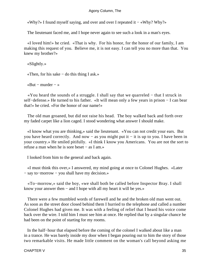«Why?» I found myself saying, and over and over I repeated it − «Why? Why?»

The lieutenant faced me, and I hope never again to see such a look in a man's eyes.

 «I loved him!» he cried. «That is why. For his honor, for the honor of our family, I am making this request of you. Believe me, it is not easy. I can tell you no more than that. You knew my brother?»

 «Slightly.» «Then, for his sake − do this thing I ask.»

«But – murder – »

 «You heard the sounds of a struggle. I shall say that we quarreled − that I struck in self−defense.» He turned to his father. «It will mean only a few years in prison − I can bear that!» he cried. «For the honor of our name!»

 The old man groaned, but did not raise his head. The boy walked back and forth over my faded carpet like a lion caged. I stood wondering what answer I should make.

 «I know what you are thinking,» said the lieutenant. «You can not credit your ears. But you have heard correctly. And now − as you might put it − it is up to you. I have been in your country.» He smiled pitifully. «I think I know you Americans. You are not the sort to refuse a man when he is sore beset − as I am.»

I looked from him to the general and back again.

 «I must think this over,» I answered, my mind going at once to Colonel Hughes. «Later − say to−morrow − you shall have my decision.»

 «To−morrow,» said the boy, «we shall both be called before Inspector Bray. I shall know your answer then − and I hope with all my heart it will be yes.»

 There were a few mumbled words of farewell and he and the broken old man went out. As soon as the street door closed behind them I hurried to the telephone and called a number Colonel Hughes had given me. It was with a feeling of relief that I heard his voice come back over the wire. I told him I must see him at once. He replied that by a singular chance he had been on the point of starting for my rooms.

 In the half−hour that elapsed before the coming of the colonel I walked about like a man in a trance. He was barely inside my door when I began pouring out to him the story of those two remarkable visits. He made little comment on the woman's call beyond asking me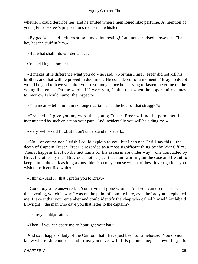whether I could describe her; and he smiled when I mentioned lilac perfume. At mention of young Fraser−Freer's preposterous request he whistled.

 «By gad!» he said. «Interesting − most interesting! I am not surprised, however. That boy has the stuff in him.»

«But what shall I do?» I demanded.

Colonel Hughes smiled.

 «It makes little difference what you do,» he said. «Norman Fraser−Freer did not kill his brother, and that will be proved in due time.» He considered for a moment. "Bray no doubt would be glad to have you alter your testimony, since he is trying to fasten the crime on the young lieutenant. On the whole, if I were you, I think that when the opportunity comes to−morrow I should humor the inspector.

«You mean − tell him I am no longer certain as to the hour of that struggle?»

 «Precisely. I give you my word that young Fraser−Freer will not be permanently incriminated by such an act on your part. And incidentally you will be aiding me.»

«Very well,» said I. «But I don't understand this at all.»

 «No − of course not. I wish I could explain to you; but I can not. I will say this − the death of Captain Fraser−Freer is regarded as a most significant thing by the War Office. Thus it happens that two distinct hunts for his assassin are under way − one conducted by Bray, the other by me. Bray does not suspect that I am working on the case and I want to keep him in the dark as long as possible. You may choose which of these investigations you wish to be identified with.»

«I think,» said I, «that I prefer you to Bray.»

 «Good boy!» he answered. «You have not gone wrong. And you can do me a service this evening, which is why I was on the point of coming here, even before you telephoned me. I take it that you remember and could identify the chap who called himself Archibald Enwright − the man who gave you that letter to the captain?»

«I surely could,» said I.

«Then, if you can spare me an hour, get your hat.»

 And so it happens, lady of the Carlton, that I have just been to Limehouse. You do not know where Limehouse is and I trust you never will. It is picturesque; it is revolting; it is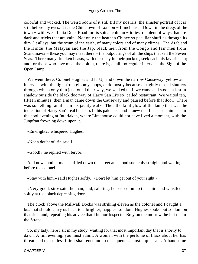colorful and wicked. The weird odors of it still fill my nostrils; the sinister portrait of it is still before my eyes. It is the Chinatown of London − Limehouse. Down in the dregs of the town − with West India Dock Road for its spinal column − it lies, redolent of ways that are dark and tricks that are vain. Not only the heathen Chinee so peculiar shuffles through its dim−lit alleys, but the scum of the earth, of many colors and of many climes. The Arab and the Hindu, the Malayan and the Jap, black men from the Congo and fair men from Scandinavia − these you may meet there − the outpourings of all the ships that sail the Seven Seas. There many drunken beasts, with their pay in their pockets, seek each his favorite sin; and for those who love most the opium, there is, at all too regular intervals, the Sign of the Open Lamp.

 We went there, Colonel Hughes and I. Up and down the narrow Causeway, yellow at intervals with the light from gloomy shops, dark mostly because of tightly closed shutters through which only thin jets found their way, we walked until we came and stood at last in shadow outside the black doorway of Harry San Li's so−called restaurant. We waited ten, fifteen minutes; then a man came down the Causeway and paused before that door. There was something familiar in his jaunty walk. Then the faint glow of the lamp that was the indication of Harry San's real business lit his pale face, and I knew that I had seen him last in the cool evening at Interlaken, where Limehouse could not have lived a moment, with the Jungfrau frowning down upon it.

«Enwright?» whispered Hughes.

«Not a doubt of it!» said I.

«Good!» he replied with fervor.

 And now another man shuffled down the street and stood suddenly straight and waiting before the colonel.

«Stay with him,» said Hughes softly. «Don't let him get out of your sight.»

 «Very good, sir,» said the man; and, saluting, he passed on up the stairs and whistled softly at that black depressing door.

 The clock above the Millwall Docks was striking eleven as the colonel and I caught a bus that should carry us back to a brighter, happier London. Hughes spoke but seldom on that ride; and, repeating his advice that I humor Inspector Bray on the morrow, he left me in the Strand.

 So, my lady, here I sit in my study, waiting for that most important day that is shortly to dawn. A full evening, you must admit. A woman with the perfume of lilacs about her has threatened that unless I lie I shall encounter consequences most unpleasant. A handsome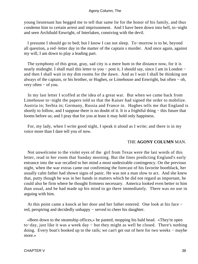young lieutenant has begged me to tell that same lie for the honor of his family, and thus condemn him to certain arrest and imprisonment. And I have been down into hell, to−night and seen Archibald Enwright, of Interlaken, conniving with the devil.

 I presume I should go to bed; but I know I can not sleep. To−morrow is to be, beyond all question, a red−letter day in the matter of the captain s murder. And once again, against my will, I am down to play a leading part.

 The symphony of this great, gray, sad city is a mere hum in the distance now, for it is nearly midnight. I shall mail this letter to you – post it, I should say, since I am in London – and then I shall wait in my dim rooms for the dawn. And as I wait I shall be thinking not always of the captain, or his brother, or Hughes, or Limehouse and Enwright, but often − oh, very often − of you.

 In my last letter I scoffed at the idea of a great war. But when we came back from Limehouse to−night the papers told us that the Kaiser had signed the order to mobilize. Austria in; Serbia in; Germany, Russia and France in. Hughes tells me that England is shortly to follow, and I suppose there is no doubt of it. It is a frightful thing – this future that looms before us; and I pray that for you at least it may hold only happiness.

 For, my lady, when I write good night, I speak it aloud as I write; and there is in my voice more than I dare tell you of now.

#### THE **AGONY COLUMN** MAN.

 Not unwelcome to the violet eyes of the girl from Texas were the last words of this letter, read in her room that Sunday morning. But the lines predicting England's early entrance into the war recalled to her mind a most undesirable contingency. On the previous night, when the war extras came out confirming the forecast of his favorite bootblack, her usually calm father had shown signs of panic. He was not a man slow to act. And she knew that, putty though he was in her hands in matters which he did not regard as important, he could also be firm where he thought firmness necessary. America looked even better to him than usual, and he had made up his mind to go there immediately. There was no use in arguing with him.

 At this point came a knock at her door and her father entered. One look at his face − red, perspiring and decidedly unhappy − served to cheer his daughter.

 «Been down to the steamship offices,» he panted, mopping his bald head. «They're open to−day, just like it was a week day − but they might as well be closed. There's nothing doing. Every boat's booked up to the rails; we can't get out of here for two weeks − maybe more.»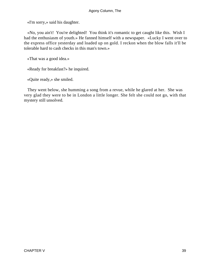«I'm sorry,» said his daughter.

 «No, you ain't! You're delighted! You think it's romantic to get caught like this. Wish I had the enthusiasm of youth.» He fanned himself with a newspaper. «Lucky I went over to the express office yesterday and loaded up on gold. I reckon when the blow falls it'll be tolerable hard to cash checks in this man's town.»

«That was a good idea.»

«Ready for breakfast?» he inquired.

«Quite ready,» she smiled.

 They went below, she humming a song from a revue, while he glared at her. She was very glad they were to be in London a little longer. She felt she could not go, with that mystery still unsolved.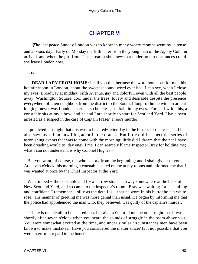## **[CHAPTER VI](#page-66-0)**

<span id="page-40-0"></span>**The last peace Sunday London was to know in many weary months went by, a tense** and anxious day. Early on Monday the fifth letter from the young man of the Agony Column arrived, and when the girl from Texas read it she knew that under no circumstances could she leave London now.

It ran:

**DEAR LADY FROM HOME:** I call you that because the word home has for me, this hot afternoon in London, about the sweetest sound word ever had. I can see, when I close my eyes, Broadway at midday; Fifth Avenue, gay and colorful, even with all the best people away; Washington Square, cool under the trees, lovely and desirable despite the presence everywhere of alien neighbors from the district to the South. I long for home with an ardent longing; never was London so cruel, so hopeless, so drab, in my eyes. For, as I write this, a constable sits at my elbow, and he and I are shortly to start for Scotland Yard. I have been arrested as a suspect in the case of Captain Fraser−Freer's murder!

 I predicted last night that this was to be a red−letter day in the history of that case, and I also saw myself an unwilling actor in the drama. But little did I suspect the series of astonishing events that was to come with the morning; little did I dream that the net I have been dreading would to−day engulf me. I can scarcely blame Inspector Bray for holding me; what I can not understand is why Colonel Hughes −

 But you want, of course, the whole story from the beginning; and I shall give it to you. At eleven o'clock this morning a constable called on me at my rooms and informed me that I was wanted at once by the Chief Inspector at the Yard.

We climbed – the constable and  $I - a$  narrow stone stairway somewhere at the back of New Scotland Yard, and so came to the inspector's room. Bray was waiting for us, smiling and confident. I remember – silly as the detail is – that he wore in his buttonhole a white rose. His manner of greeting me was more genial than usual. He began by informing me that the police had apprehended the man who, they believed, was guilty of the captain's murder.

 «There is one detail to be cleared up,» he said. «You told me the other night that it was shortly after seven o'clock when you heard the sounds of struggle in the room above you. You were somewhat excited at the time, and under similar circumstances men have been known to make mistakes. Have you considered the matter since? Is it not possible that you were in error in regard to the hour?»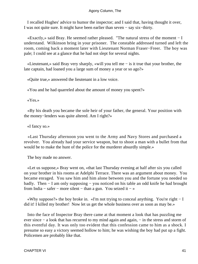I recalled Hughes' advice to humor the inspector; and I said that, having thought it over, I was not quite sure. It might have been earlier than seven − say six−thirty.

 «Exactly,» said Bray. He seemed rather pleased. "The natural stress of the moment − I understand. Wilkinson bring in your prisoner. The constable addressed turned and left the room, coming back a moment later with Lieutenant Norman Fraser−Freer. The boy was pale; I could see at a glance that he had not slept for several nights.

 «Lieutenant,» said Bray very sharply, «will you tell me − is it true that your brother, the late captain, had loaned you a large sum of money a year or so ago?»

«Quite true,» answered the lieutenant in a low voice.

«You and he had quarreled about the amount of money you spent?»

«Yes.»

 «By his death you became the sole heir of your father, the general. Your position with the money−lenders was quite altered. Am I right?»

«I fancy so.»

 «Last Thursday afternoon you went to the Army and Navy Stores and purchased a revolver. You already had your service weapon, but to shoot a man with a bullet from that would be to make the hunt of the police for the murderer absurdly simple.»

The boy made no answer.

 «Let us suppose,» Bray went on, «that last Thursday evening at half after six you called on your brother in his rooms at Adelphi Terrace. There was an argument about money. You became enraged. You saw him and him alone between you and the fortune you needed so badly. Then − I am only supposing − you noticed on his table an odd knife he had brought from India − safer − more silent − than a gun. You seized it − »

 «Why suppose?» the boy broke in. «I'm not trying to conceal anything. You're right − I did it! I killed my brother! Now let us get the whole business over as soon as may be.»

 Into the face of Inspector Bray there came at that moment a look that has puzzling me ever since – a look that has recurred to my mind again and again, – in the stress and storm of this eventful day. It was only too evident that this confession came to him as a shock. I presume so easy a victory seemed hollow to him; he was wishing the boy had put up a fight. Policemen are probably like that.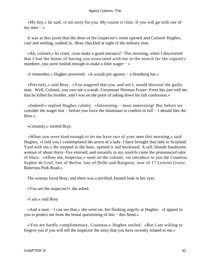«My boy,» he said, «I am sorry for you. My course is clear. If you will go with one of my men  $-$  »

 It was at this point that the door of the inspector's room opened and Colonel Hughes, cool and smiling, walked in. Bray chuckled at sight of the military man.

 «Ah, colonel,» he cried, «you make a good entrance! This morning, when I discovered that I had the honor of having you associated with me in the search for the captain's murderer, you were foolish enough to make a little wager − »

«I remember,» Hughes answered. «A scarab pin against − a Homburg hat.»

 «Precisely,» said Bray. «You wagered that you, and not I, would discover the guilty man. Well, Colonel, you owe me a scarab. Lieutenant Norman Fraser−Freer has just told me that he killed his brother, and I was on the point of taking down his full confession.»

 «Indeed!» replied Hughes calmly. «Interesting − most interesting! But before we consider the wager lost − before you force the lieutenant to confess in full − I should like the floor.»

«Certainly,» smiled Bray.

 «When you were kind enough to let me have two of your men this morning,» said Hughes, «I told you I contemplated the arrest of a lady. I have brought that lady to Scotland Yard with me.» He stepped to the door, opened it and beckoned. A tall, blonde handsome woman of about thirty−five entered; and instantly to my nostrils came the pronounced odor of lilacs. «Allow me, Inspector,» went on the colonel, «to introduce to you the Countess Sophie de Graf, late of Berlin, late of Delhi and Rangoon, now of 17 Leitrim Grove, Battersea Park Road.»

The woman faced Bray; and there was a terrified, hunted look in her eyes.

«You are the inspector?» she asked.

«I am,» said Bray.

 «And a man − I can see that,» she went on, her flashing angrily at Hughes. «I appeal to you to protect me from the brutal questioning of this − this fiend.»

 «You are hardly complimentary, Countess,» Hughes smiled. «But I am willing to forgive you if you will tell the inspector the story that you have recently related to me.»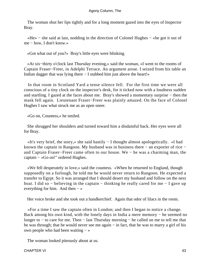The woman shut her lips tightly and for a long moment gazed into the eyes of Inspector Bray.

 «He» − she said at last, nodding in the direction of Colonel Hughes − «he got it out of me − how, I don't know.»

«Got what out of you?» Bray's little eyes were blinking.

 «At six−thirty o'clock last Thursday evening,» said the woman, «I went to the rooms of Captain Fraser−Freer, in Adelphi Terrace. An argument arose. I seized from his table an Indian dagger that was lying there − I stabbed him just above the heart!»

 In that room in Scotland Yard a tense silence fell. For the first time we were all conscious of a tiny clock on the inspector's desk, for it ticked now with a loudness sudden and startling. I gazed at the faces about me. Bray's showed a momentary surprise − then the mask fell again. Lieutenant Fraser−Freer was plainly amazed. On the face of Colonel Hughes I saw what struck me as an open sneer.

«Go on, Countess,» he smiled.

 She shrugged her shoulders and turned toward him a disdainful back. Her eyes were all for Bray.

 «It's very brief, the story,» she said hastily − I thought almost apologetically. «I had known the captain in Rangoon. My husband was in business there − an exporter of rice − and Captain Fraser−Freer came often to our house. We − he was a charming man, the captain − »Go on!" ordered Hughes.

 «We fell desperately in love,» said the countess. «When he returned to England, though supposedly on a furlough, he told me he would never return to Rangoon. He expected a transfer to Egypt. So it was arranged that I should desert my husband and follow on the next boat. I did so − believing in the captain − thinking he really cared for me − I gave up everything for him. And then  $-\infty$ 

Her voice broke and she took out a handkerchief. Again that odor of lilacs in the room.

 «For a time I saw the captain often in London; and then I began to notice a change. Back among his own kind, with the lonely days in India a mere memory − he seemed no longer to − to care for me. Then − last Thursday morning − he called on me to tell me that he was through; that he would never see me again – in fact, that he was to marry a girl of his own people who had been waiting − »

The woman looked piteously about at us.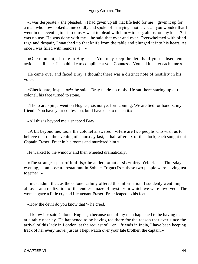«I was desperate,» she pleaded. «I had given up all that life held for me − given it up for a man who now looked at me coldly and spoke of marrying another. Can you wonder that I went in the evening to his rooms – went to plead with him – to beg, almost on my knees? It was no use. He was done with me – he said that over and over. Overwhelmed with blind rage and despair, I snatched up that knife from the table and plunged it into his heart. At once I was filled with remorse. I  $-\infty$ 

 «One moment,» broke in Hughes. «You may keep the details of your subsequent actions until later. I should like to compliment you, Countess. You tell it better each time.»

 He came over and faced Bray. I thought there was a distinct note of hostility in his voice.

 «Checkmate, Inspector!» he said. Bray made no reply. He sat there staring up at the colonel, his face turned to stone.

 «The scarab pin,» went on Hughes, «is not yet forthcoming. We are tied for honors, my friend. You have your confession, but I have one to match it.»

«All this is beyond me,» snapped Bray.

 «A bit beyond me, too,» the colonel answered. «Here are two people who wish us to believe that on the evening of Thursday last, at half after six of the clock, each sought out Captain Fraser−Freer in his rooms and murdered him.»

He walked to the window and then wheeled dramatically.

 «The strangest part of it all is,» he added, «that at six−thirty o'clock last Thursday evening, at an obscure restaurant in Soho − Frigacci's − these two people were having tea together !»

 I must admit that, as the colonel calmly offered this information, I suddenly went limp all over at a realization of the endless maze of mystery in which we were involved. The woman gave a little cry and Lieutenant Fraser−Freer leaped to his feet.

«How the devil do you know that?» he cried.

 «I know it,» said Colonel Hughes, «because one of my men happened to be having tea at a table near by. He happened to be having tea there for the reason that ever since the arrival of this lady in London, at the request of − er − friends in India, I have been keeping track of her every move; just as I kept watch over your late brother, the captain.»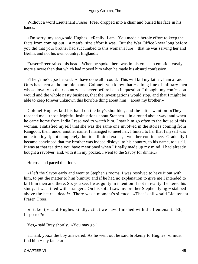Without a word Lieutenant Fraser−Freer dropped into a chair and buried his face in his hands.

 «I'm sorry, my son,» said Hughes. «Really, I am. You made a heroic effort to keep the facts from coming out − a man's−size effort it was. But the War Office knew long before you did that your brother had succumbed to this woman's lure − that he was serving her and Berlin, and not his own country, England.»

 Fraser−Freer raised his head. When he spoke there was in his voice an emotion vastly more sincere than that which had moved him when he made his absurd confession.

 «The game's up,» he said. «I have done all I could. This will kill my father, I am afraid. Ours has been an honorable name, Colonel; you know that − a long line of military men whose loyalty to their country has never before been in question. I thought my confession would and the whole nasty business, that the investigations would stop, and that I might be able to keep forever unknown this horrible thing about him − about my brother.»

 Colonel Hughes laid his hand on the boy's shoulder, and the latter went on: «They reached me − those frightful insinuations about Stephen − in a round about way; and when he came home from India I resolved to watch him. I saw him go often to the house of this woman. I satisfied myself that she was the same one involved in the stories coming from Rangoon; then, under another name, I managed to meet her. I hinted to her that I myself was none too loyal; not completely, but to a limited extent, I won her confidence. Gradually I became convinced that my brother was indeed disloyal to his country, to his name, to us all. It was at that tea time you have mentioned when I finally made up my mind. I had already bought a revolver; and, with it in my pocket, I went to the Savoy for dinner.»

He rose and paced the floor.

 «I left the Savoy early and went to Stephen's rooms. I was resolved to have it out with him, to put the matter to him bluntly; and if he had no explanation to give me I intended to kill him then and there. So, you see, I was guilty in intention if not in reality. I entered his study. It was filled with strangers. On his sofa I saw my brother Stephen lying − stabbed above the heart − dead!» There was a moment's silence. «That is all,» said Lieutenant Fraser−Freer.

 «I take it,» said Hughes kindly, «that we have finished with the lieutenant. Eh, Inspector?»

Yes,« said Bray shortly. »You may go."

 «Thank you,» the boy answered. As he went out he said brokenly to Hughes: «I must find him − my father.»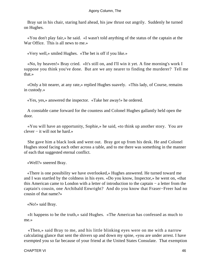Bray sat in his chair, staring hard ahead, his jaw thrust out angrily. Suddenly he turned on Hughes.

 «You don't play fair,» he said. «I wasn't told anything of the status of the captain at the War Office. This is all news to me.»

«Very well,» smiled Hughes. «The bet is off if you like.»

 «No, by heaven!» Bray cried. «It's still on, and I'll win it yet. A fine morning's work I suppose you think you've done. But are we any nearer to finding the murderer? Tell me that.»

 «Only a bit nearer, at any rate,» replied Hughes suavely. «This lady, of Course, remains in custody.»

«Yes, yes,» answered the inspector. «Take her away!» he ordered.

 A constable came forward for the countess and Colonel Hughes gallantly held open the door.

 «You will have an opportunity, Sophie,» he said, «to think up another story. You are clever − it will not he hard.»

 She gave him a black look and went out. Bray got up from his desk. He and Colonel Hughes stood facing each other across a table, and to me there was something in the manner of each that suggested eternal conflict.

«Well?» sneered Bray.

 «There is one possibility we have overlooked,» Hughes answered. He turned toward me and I was startled by the coldness in his eyes. «Do you know, Inspector,» he went on, «that this American came to London with a letter of introduction to the captain − a letter from the captain's cousin, one Archibald Enwright? And do you know that Fraser−Freer had no cousin of that name?»

«No!» said Bray.

 «It happens to be the truth,» said Hughes. «The American has confessed as much to me.»

 «Then,» said Bray to me, and his little blinking eyes were on me with a narrow calculating glance that sent the shivers up and down my spine, «you are under arrest. I have exempted you so far because of your friend at the United States Consulate. That exemption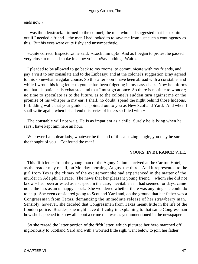ends now.»

 I was thunderstruck. I turned to the colonel, the man who had suggested that I seek him out if I needed a friend − the man I had looked to to save me from just such a contingency as this. But his eyes were quite fishy and unsympathetic.

 «Quite correct, Inspector,» he said. «Lock him up!» And as I began to protest he passed very close to me and spoke in a low voice: «Say nothing. Wait!»

 I pleaded to be allowed to go back to my rooms, to communicate with my friends, and pay a visit to our consulate and to the Embassy; and at the colonel's suggestion Bray agreed to this somewhat irregular course. So this afternoon I have been abroad with a constable, and while I wrote this long letter to you he has been fidgeting in my easy chair. Now he informs me that his patience is exhausted and that I must go at once. So there is no time to wonder; no time to speculate as to the future, as to the colonel's sudden turn against me or the promise of his whisper in my ear. I shall, no doubt, spend the night behind those hideous, forbidding walls that your guide has pointed out to you as New Scotland Yard. And when I shall write again, when I shall end this series of letters so filled with −

 The constable will not wait. He is as impatient as a child. Surely he is lying when he says I have kept him here an hour.

Wherever I am, dear lady, whatever be the end of this amazing tangle, you may be sure the thought of you − Confound the man!

#### YOURS, **IN DURANCE** VILE.

 This fifth letter from the young man of the Agony Column arrived at the Carlton Hotel, as the reader may recall, on Monday morning, August the third. And it represented to the girl from Texas the climax of the excitement she had experienced in the matter of the murder in Adelphi Terrace. The news that her pleasant young friend − whom she did not know − had been arrested as a suspect in the case, inevitable as it had seemed for days, came none the less as an unhappy shock. She wondered whether there was anything she could do to help. She even considered going to Scotland Yard and, on the ground that her father was a Congressman from Texas, demanding the immediate release of her strawberry man. Sensibly, however, she decided that Congressmen from Texas meant little in the life of the London police. Besides, she night have difficulty in explaining to that same Congressman how she happened to know all about a crime that was as yet unmentioned in the newspapers.

 So she reread the latter portion of the fifth letter, which pictured her hero marched off ingloriously to Scotland Yard and with a worried little sigh, went below to join her father.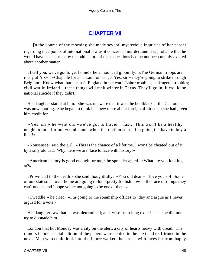## **[CHAPTER VII](#page-66-0)**

<span id="page-48-0"></span>*I*n the course of the morning she made several mysterious inquiries of her parent regarding nice points of international law as it concerned murder, and it is probable that he would have been struck by the odd nature of these questions had he not been unduly excited about another matter.

 «I tell you, we've got to get home!» he announced gloomily. «The German troops are ready at Aix−la−Chapelle for an assault on Liege. Yes, sir − they're going to strike through Belgium! Know what that means? England in the war! Labor troubles; suffragette troubles; civil war in Ireland − these things will melt winter in Texas. They'll go in. It would be national suicide if they didn't.»

 His daughter stared at him. She was unaware that it was the bootblack at the Canton he was now quoting. She began to think he knew more about foreign affairs than she had given him credit for.

 «Yes, sir,» he went on; «we've got to travel − fast. This won't be a healthy neighborhood for non−combatants when the ruction starts. I'm going if I have to buy a liner!»

 «Nonsense!» said the girl. «This is the chance of a lifetime. I won't be cheated out of it by a silly old dad. Why, here we are, face to face with history!»

 «American history is good enough for me,» he spread−eagled. «What are you looking at?»

 «Provincial to the death!» she said thoughtfully. «You old dear − I love you so! Some of our statesmen over home are going to look pretty foolish now in the face of things they can't understand I hope you're not going to be one of them.»

 «Twaddle!» he cried. «I'm going to the steamship offices to−day and argue as I never argued for a vote.»

 His daughter saw that he was determined; and, wise from long experience, she did not try to dissuade him.

 London that hot Monday was a city on the alert, a city of hearts heavy with dread. The rumors in one special edition of the papers were denied in the next and reaffirmed in the next. Men who could look into the future walked the streets with faces far from happy.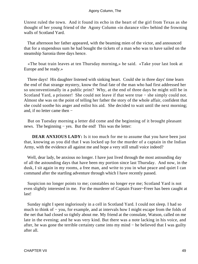Unrest ruled the town. And it found its echo in the heart of the girl from Texas as she thought of her young friend of the Agony Column «in durance vile» behind the frowning walls of Scotland Yard.

 That afternoon her father appeared, with the beaming mien of the victor, and announced that for a stupendous sum he had bought the tickets of a man who was to have sailed on the steamship Saronia three days hence.

 «The boat train leaves at ten Thursday morning,» he said. «Take your last look at Europe and be ready.»

 Three days! His daughter listened with sinking heart. Could she in three days' time learn the end of that strange mystery, know the final fate of the man who had first addressed her so unconventionally in a public print? Why, at the end of three days he might still be in Scotland Yard, a prisoner! She could not leave if that were true − she simply could not. Almost she was on the point of telling her father the story of the whole affair, confident that she could soothe his anger and enlist his aid. She decided to wait until the next morning; and, if no letter came then −

 But on Tuesday morning a letter did come and the beginning of it brought pleasant news. The beginning – yes. But the end! This was the letter:

**DEAR ANXIOUS LADY:** Is it too much for me to assume that you have been just that, knowing as you did that I was locked up for the murder of a captain in the Indian Army, with the evidence all against me and hope a very still small voice indeed?

 Well, dear lady, be anxious no longer. I have just lived through the most astounding day of all the astounding days that have been my portion since last Thursday. And now, in the dusk, I sit again in my rooms, a free man, and write to you in what peace and quiet I can command after the startling adventure through which I have recently passed.

 Suspicion no longer points to me; constables no longer eye me; Scotland Yard is not even slightly interested in me. For the murderer of Captain Fraser~Freer has been caught at last!

 Sunday night I spent ingloriously in a cell in Scotland Yard. I could not sleep. I had so much to think of − you, for example, and at intervals how I might escape from the folds of the net that had closed so tightly about me. My friend at the consulate, Watson, called on me late in the evening; and he was very kind. But there was a note lacking in his voice, and after, he was gone the terrible certainty came into my mind − he believed that I was guilty after all.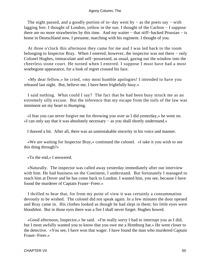The night passed, and a goodly portion of to–day went by – as the poets say – with lagging feet. I thought of London, yellow in the sun. I thought of the Carlton − I suppose there are no more strawberries by this time. And my waiter − that stiff−backed Prussian − is home in Deutschland now, I presume, marching with his regiment. I thought of you.

 At three o'clock this afternoon they came for me and I was led back to the room belonging to Inspector Bray. When I entered, however, the inspector was not there − only Colonel Hughes, immaculate and self−possessed, as usual, gazing out the window into the cheerless stone court. He turned when I entered. I suppose I must have had a most woebegone appearance, for a look of regret crossed his face.

 «My dear fellow,» he cried, «my most humble apologies! I intended to have you released last night. But, believe me, I have been frightfully busy.»

 I said nothing. What could I say? The fact that he had been busy struck me as an extremely silly excuse. But the inference that my escape from the toils of the law was imminent set my heart to thumping.

 «I fear you can never forgive me for throwing you over as I did yesterday,» he went on. «I can only say that it was absolutely necessary − as you shall shortly understand.»

I thawed a bit. After all, there was an unmistakable sincerity in his voice and manner.

 «We are waiting for Inspector Bray,» continued the colonel. «I take it you wish to see this thing through?»

«To the end,» I answered.

 «Naturally. The inspector was called away yesterday immediately after our interview with him. He had business on the Continent, I understand. But fortunately I managed to reach him at Dover and he has come back to London. I wanted him, you see, because I have found the murderer of Captain Fraser−Freer.»

 I thrilled to hear that, for from my point of view it was certainly a consummation devoutly to be wished. The colonel did not speak again. In a few minutes the door opened and Bray came in. His clothes looked as though he had slept in them; his little eyes were bloodshot. But in those eyes there was a fire I shall never forget. Hughes bowed.

 «Good afternoon, Inspector,» he said. «I'm really sorry I had to interrupt you as I did; but I most awfully wanted you to know that you owe me a Homburg hat.» He went closer to the detective. «You see, I have won that wager. I have found the man who murdered Captain Fraser−Freer.»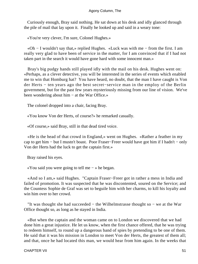Curiously enough, Bray said nothing. He sat down at his desk and idly glanced through the pile of mail that lay upon it. Finally he looked up and said in a weary tone:

«You're very clever, I'm sure, Colonel Hughes.»

 «Oh − I wouldn't say that,» replied Hughes. «Luck was with me − from the first. I am really very glad to have been of service in the matter, for I am convinced that if I had not taken part in the search it would have gone hard with some innocent man.»

 Bray's big pudgy hands still played idly with the mail on his desk. Hughes went on: «Perhaps, as a clever detective, you will be interested in the series of events which enabled me to win that Homburg hat? You have heard, no doubt, that the man I have caught is Von der Herts − ten years ago the best secret−service man in the employ of the Berlin government, but for the past few years mysteriously missing from our line of vision. We've been wondering about him − at the War Office.»

The colonel dropped into a chair, facing Bray.

«You know Von der Herts, of course?» he remarked casually.

«Of course,» said Bray, still in that dead tired voice.

 «He is the head of that crowd in England,» went on Hughes. «Rather a feather in my cap to get him − but I mustn't boast. Poor Fraser−Freer would have got him if I hadn't − only Von der Herts had the luck to get the captain first.»

Bray raised his eyes.

«You said you were going to tell me − » he began.

 «And so I am,» said Hughes. "Captain Fraser−Freer got in rather a mess in India and failed of promotion. It was suspected that he was discontented, soured on the Service; and the Countess Sophie de Graf was set to beguile him with her charms, to kill his loyalty and win him over to her crowd.

 "It was thought she had succeeded − the Wilhelmstrasse thought so − we at the War Office thought so, as long as he stayed in India.

 «But when the captain and the woman came on to London we discovered that we had done him a great injustice. He let us know, when the first chance offered, that he was trying to redeem himself, to round up a dangerous band of spies by pretending to be one of them. He said that it was his mission in London to meet Von der Herts, the greatest of them all; and that, once he had located this man, we would hear from him again. In the weeks that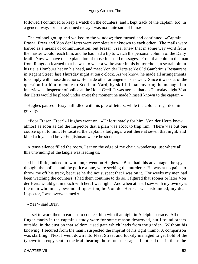followed I continued to keep a watch on the countess; and I kept track of the captain, too, in a general way, for I'm ashamed to say I was not quite sure of him.»

 The colonel got up and walked to the window; then turned and continued: «Captain Fraser−Freer and Von der Herts were completely unknown to each other. The mails were barred as a means of communication; but Fraser−Freer knew that in some way word from the master would reach him, and he had had a tip to watch the personal column of the Daily Mail. Now we have the explanation of those four odd messages. From that column the man from Rangoon learned that he was to wear a white aster in his button−hole, a scarab pin in his tie, a Homburg hat on his head, and meet Von der Herts at Ye Old Gambrinus Restaurant in Regent Street, last Thursday night at ten o'clock. As we know, he made all arrangements to comply with those directions. He made other arrangements as well. Since it was out of the question for him to come to Scotland Yard, by skillful maneuvering he managed to interview an inspector of police at the Hotel Cecil. It was agreed that on Thursday night Von der Herts would be placed under arrest the moment he made himself known to the captain.»

 Hughes paused. Bray still idled with his pile of letters, while the colonel regarded him gravely.

 «Poor Fraser−Freer!» Hughes went on. «Unfortunately for him, Von der Herts knew almost as soon as did the inspector that a plan was afoot to trap him. There was but one course open to him: He located the captain's lodgings, went there at seven that night, and killed a loyal and brave Englishman where he stood.»

 A tense silence filled the room. I sat on the edge of my chair, wondering just where all this unwinding of the tangle was leading us.

 «I had little, indeed, to work on,» went on Hughes. «But I had this advantage: the spy thought the police, and the police alone, were seeking the murderer. He was at no pains to throw me off his track, because he did not suspect that I was on it. For weeks my men had been watching the countess. I had them continue to do so. I figured that sooner or later Von der Herts would get in touch with her. I was right. And when at last I saw with my own eyes the man who must, beyond all question, be Von der Herts, I was astounded, my dear Inspector, I was overwhelmed.»

#### «Yes?» said Bray.

 «I set to work then in earnest to connect him with that night in Adelphi Terrace. All the finger marks in the captain's study were for some reason destroyed, but I found others outside, in the dust on that seldom−used gate which leads from the garden. Without his knowing, I secured from the man I suspected the imprint of his right thumb. A comparison was startling. Next I went down into Fleet Street and luckily managed to get hold of the typewritten copy sent to the Mail bearing those four messages. I noticed that in these the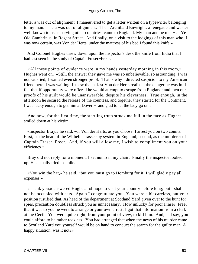letter a was out of alignment. I maneuvered to get a letter written on a typewriter belonging to my man. The a was out of alignment. Then Archibald Enwright, a renegade and waster well known to us as serving other countries, came to England. My man and he met − at Ye Old Gambrinus, in Regent Street. And finally, on a visit to the lodgings of this man who, I was now certain, was Von der Herts, under the mattress of his bed I found this knife.»

 And Colonel Hughes threw down upon the inspector's desk the knife from India that I had last seen in the study of Captain Fraser−Freer.

 «All these points of evidence were in my hands yesterday morning in this room,» Hughes went on. «Still, the answer they gave me was so unbelievable, so astounding, I was not satisfied; I wanted even stronger proof. That is why I directed suspicion to my American friend here. I was waiting. I knew that at last Von der Herts realized the danger he was in. I felt that if opportunity were offered he would attempt to escape from England; and then our proofs of his guilt would be unanswerable, despite his cleverness. True enough, in the afternoon he secured the release of the countess, and together they started for the Continent. I was lucky enough to get him at Dover − and glad to let the lady go on.»

 And now, for the first time, the startling truth struck me full in the face as Hughes smiled down at his victim.

 «Inspector Bray,» he said, «or Von der Herts, as you choose, I arrest you on two counts: First, as the head of the Wilhelmstrasse spy system in England; second, as the murderer of Captain Fraser−Freer. And, if you will allow me, I wish to compliment you on your efficiency.»

 Bray did not reply for a moment. I sat numb in my chair. Finally the inspector looked up. He actually tried to smile.

 «You win the hat,» he said, «but you must go to Homburg for it. I will gladly pay all expenses.»

 «Thank you,» answered Hughes. «I hope to visit your country before long; but I shall not be occupied with hats. Again I congratulate you. You were a bit careless, but your position justified that. As head of the department at Scotland Yard given over to the hunt for spies, precaution doubtless struck you as unnecessary. How unlucky for poor Fraser−Freer that it was to you he went to arrange or your own arrest! I got that information from a clerk at the Cecil. You were quite right, from your point of view, to kill him. And, as I say, you could afford to be rather reckless. You had arranged that when the news of his murder came to Scotland Yard you yourself would be on hand to conduct the search for the guilty man. A happy situation, was it not?»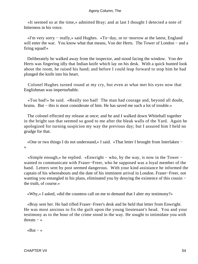«It seemed so at the time,» admitted Bray; and at last I thought I detected a note of bitterness in his voice.

 «I'm very sorry − really,» said Hughes. «To−day, or to−morrow at the latest, England will enter the war. You know what that means, Von der Herts. The Tower of London − and a firing squad!»

 Deliberately he walked away from the inspector, and stood facing the window. Von der Herts was fingering idly that Indian knife which lay on his desk. With a quick hunted look about the room, he raised his hand; and before I could leap forward to stop him he had plunged the knife into his heart.

 Colonel Hughes turned round at my cry, but even at what met his eyes now that Englishman was imperturbable.

 «Too bad!» he said. «Really too bad! The man had courage and, beyond all doubt, brains. But − this is most considerate of him. He has saved me such a lot of trouble.»

 The colonel effected my release at once; and he and I walked down Whitehall together in the bright sun that seemed so good to me after the bleak walls of the Yard. Again he apologized for turning suspicion my way the previous day; but I assured him I held no grudge for that.

 «One or two things I do not understand,» I said. «That letter I brought from Interlaken − »

 «Simple enough,» he replied. «Enwright − who, by the way, is now in the Tower − wanted to communicate with Fraser−Freer, who he supposed was a loyal member of the band. Letters sent by post seemed dangerous. With your kind assistance he informed the captain of his whereabouts and the date of his imminent arrival in London. Fraser−Freer, not wanting you entangled in his plans, eliminated you by denying the existence of this cousin − the truth, of course.»

«Why,» I asked, «did the countess call on me to demand that I alter my testimony?»

 «Bray sent her. He had rifled Fraser−Freer's desk and he held that letter from Enwright. He was most anxious to fix the guilt upon the young lieutenant's head. You and your testimony as to the hour of the crime stood in the way. He sought to intimidate you with threats  $-$  »

«But − »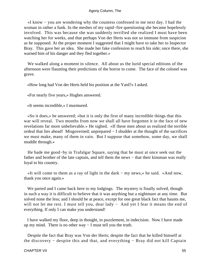«I know − you are wondering why the countess confessed to me next day. I had the woman in rather a funk. In the meshes of my rapid−fire questioning she became hopelessly involved. This was because she was suddenly terrified she realized I must have been watching her for weeks, and that perhaps Von der Herts was not so immune from suspicion as he supposed. At the proper moment I suggested that I might have to take her to Inspector Bray. This gave her an idea. She made her fake confession to reach his side; once there, she warned him of his danger and they fled together.»

 We walked along a moment in silence. All about us the lurid special editions of the afternoon were flaunting their predictions of the horror to come. The face of the colonel was grave.

«How long had Von der Herts held his position at the Yard?» I asked.

«For nearly five years,» Hughes answered.

«It seems incredible,» I murmured.

 «So it does,» he answered; «but it is only the first of many incredible things that this war will reveal. Two months from now we shall all have forgotten it in the face of new revelations far more unbelievable.» He sighed. «If these men about us realized the terrible ordeal that lies ahead! Misgoverned; unprepared − I shudder at the thought of the sacrifices we must make, many of them in vain. But I suppose that somehow, some day, we shall muddle through.»

 He bade me good−by in Trafalgar Square, saying that he must at once seek out the father and brother of the late captain, and tell them the news − that their kinsman was really loyal to his country.

 «It will come to them as a ray of light in the dark − my news,» he said. «And now, thank you once again.»

We parted and I came back here to my lodgings. The mystery is finally solved, though in such a way it is difficult to believe that it was anything but a nightmare at any time. But solved none the less; and I should be at peace, except for one great black fact that haunts me, will not let me rest. I must tell you, dear lady − And yet I fear it means the end of everything. If only I can make you understand!

 I have walked my floor, deep in thought, in puzzlement, in indecision. Now I have made up my mind. There is no other way − I must tell you the truth.

 Despite the fact that Bray was Von der Herts; despite the fact that he killed himself at the discovery − despite this and that, and everything − Bray did not kill Captain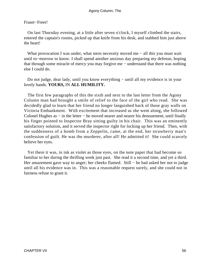#### Fraser−Freer!

 On last Thursday evening, at a little after seven o'clock, I myself climbed the stairs, entered the captain's rooms, picked up that knife from his desk, and stabbed him just above the heart!

 What provocation I was under, what stern necessity moved me − all this you must wait until to−morrow to know. I shall spend another anxious day preparing my defense, hoping that through some miracle of mercy you may forgive me − understand that there was nothing else I could do.

Do not judge, dear lady, until you know everything – until all my evidence is in your lovely hands. **YOURS,** IN **ALL HUMILITY.**

 The first few paragraphs of this the sixth and next to the last letter from the Agony Column man had brought a smile of relief to the face of the girl who read. She was decidedly glad to learn that her friend no longer languished back of those gray walls on Victoria Embankment. With excitement that increased as she went along, she followed Colonel Hughes as – in the letter – he moved nearer and nearer his denouement, until finally his finger pointed to Inspector Bray sitting guilty in his chair. This was an eminently satisfactory solution, and it served the inspector right for locking up her friend. Then, with the suddenness of a bomb from a Zeppelin, came, at the end, her strawberry man's confession of guilt. He was the murderer, after all! He admitted it! She could scarcely believe her eyes.

 Yet there it was, in ink as violet as those eyes, on the note paper that had become so familiar to her during the thrilling week just past. She read it a second time, and yet a third. Her amazement gave way to anger; her cheeks flamed. Still – he had asked her not to judge until all his evidence was in. This was a reasonable request surely, and she could not in fairness refuse to grant it.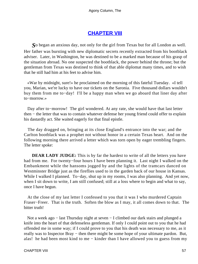## **[CHAPTER VIII](#page-66-0)**

<span id="page-57-0"></span>*S*o began an anxious day, not only for the girl from Texas but for all London as well. Her father was bursting with new diplomatic secrets recently extracted from his bootblack adviser. Later, in Washington, he was destined to be a marked man because of his grasp of the situation abroad. No one suspected the bootblack, the power behind the throne; but the gentleman from Texas was destined to think of that able diplomat many times, and to wish that he still had him at his feet to advise him.

 «War by midnight, sure!» he proclaimed on the morning of this fateful Tuesday. «I tell you, Marian, we're lucky to have our tickets on the Saronia. Five thousand dollars wouldn't buy them from me to−day! I'll be a happy man when we go aboard that liner day after to−morrow.»

 Day after to−morrow! The girl wondered. At any rate, she would have that last letter then − the letter that was to contain whatever defense her young friend could offer to explain his dastardly act. She waited eagerly for that final epistle.

 The day dragged on, bringing at its close England's entrance into the war; and the Carlton bootblack was a prophet not without honor in a certain Texas heart. And on the following morning there arrived a letter which was torn open by eager trembling fingers. The letter spoke:

**DEAR LADY JUDGE:** This is by far the hardest to write of all the letters you have had from me. For twenty−four hours I have been planning it. Last night I walked on the Embankment while the hansoms jogged by and the lights of the tramcars danced on Westminster Bridge just as the fireflies used to in the garden back of our house in Kansas. While I walked I planned. To−day, shut up in my rooms, I was also planning. And yet now, when I sit down to write, I am still confused; still at a loss where to begin and what to say, once I have begun.

 At the close of my last letter I confessed to you that it was I who murdered Captain Fraser−Freer. That is the truth. Soften the blow as I may, it all comes down to that. The bitter truth!

 Not a week ago − last Thursday night at seven − I climbed our dark stairs and plunged a knife into the heart of that defenseless gentleman. If only I could point out to you that he had offended me in some way; if I could prove to you that his death was necessary to me, as it really was to Inspector Bray – then there might be some hope of your ultimate pardon. But, alas! he had been most kind to me − kinder than I have allowed you to guess from my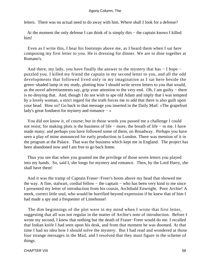letters. There was no actual need to do away with him. Where shall I look for a defense?

At the moment the only defense I can think of is simply this – the captain knows I killed him!

 Even as I write this, I hear his footsteps above me, as I heard them when I sat here composing my first letter to you. He is dressing for dinner. We are to dine together at Romano's.

 And there, my lady, you have finally the answer to the mystery that has − I hope − puzzled you. I killed my friend the captain in my second letter to you, and all the odd developments that followed lived only in my imagination as I sat here beside the green−shaded lamp in my study, plotting how I should write seven letters to you that would, as the novel advertisements say, grip your attention to the very end. Oh, I am guilty − there is no denying that. And, though I do not wish to ape old Adam and imply that I was tempted by a lovely woman, a strict regard for the truth forces me to add that there is also guilt upon your head. How so? Go back to that message you inserted in the Daily Mail: «The grapefruit lady's great fondness for mystery and romance − »

 You did not know it, of course; but in those words you passed me a challenge I could not resist; for making plots is the business of life − more, the breath of life − to me. I have made many; and perhaps you have followed some of them, on Broadway. Perhaps you have seen a play of mine announced for early production in London. There was mention of it in the program at the Palace. That was the business which kept me in England. The project has been abandoned now and I am free to go back home.

 Thus you see that when you granted me the privilege of those seven letters you played into my hands. So, said I, she longs for mystery and romance. Then, by the Lord Harry, she shall have them!

 And it was the tramp of Captain Fraser−Freer's boots above my head that showed me the way. A fine, stalwart, cordial fellow − the captain − who has been very kind to me since I presented my letter of introduction from his cousin, Archibald Enwright. Poor Archie! A meek, correct little soul, who would be horrified beyond expression if he knew that of him I had made a spy and a frequenter of Limehouse!

 The dim beginnings of the plot were in my mind when I wrote that first letter, suggesting that all was not regular in the matter of Archie's note of introduction. Before I wrote my second, I knew that nothing but the death of Fraser−Freer would do me. I recalled that Indian knife I had seen upon his desk, and from that moment he was doomed. At that time I had no idea how I should solve the mystery. But I had read and wondered at those four strange messages in the Mail, and I resolved that they must figure in the scheme of things.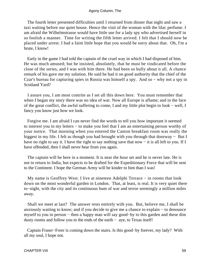The fourth letter presented difficulties until I returned from dinner that night and saw a taxi waiting before our quiet house. Hence the visit of the woman with the lilac perfume. I am afraid the Wilhelmstrasse would have little use for a lady spy who advertised herself in so foolish a manner. Time for writing the fifth letter arrived. I felt that I should now be placed under arrest. I had a faint little hope that you would be sorry about that. Oh, I'm a brute, I know!

 Early in the game I had told the captain of the cruel way in which I had disposed of him. He was much amused; but he insisted, absolutely, that he must be vindicated before the close of the series, and I was with him there. He had been so bully about it all. A chance remark of his gave me my solution. He said he had it on good authority that the chief of the Czar's bureau for capturing spies in Russia was himself a spy. And so − why not a spy in Scotland Yard?

 I assure you, I am most contrite as I set all this down here. You must remember that when I began my story there was no idea of war. Now all Europe is aflame; and in the face of the great conflict, the awful suffering to come, I and my little plot begin to look − well, I fancy you know just how we look.

 Forgive me. I am afraid I can never find the words to tell you how important it seemed to interest you in my letters − to make you feel that I am an entertaining person worthy of your notice. That morning when you entered the Canton breakfast room was really the biggest in my life. I felt as though you had brought with you through that doorway − But I have no right to say it. I have the right to say nothing save that now − it is all left to you. If I have offended, then I shall never hear from you again.

 The captain will be here in a moment. It is near the hour set and he is never late. He is not to return to India, but expects to be drafted for the Expeditionary Force that will be sent to the Continent. I hope the German Army will be kinder to him than I was!

My name is Geoffrey West. I live at nineteen Adelphi Terrace – in rooms that look down on the most wonderful garden in London. That, at least, is real. It is very quiet there to−night, with the city and its continuous hum of war and terror seemingly a million miles away.

 Shall we meet at last? The answer rests entirely with you. But, believe me, I shall be anxiously waiting to know; and if you decide to give me a chance to explain − to denounce myself to you in person − then a happy man will say good−by to this garden and these dim dusty rooms and follow you to the ends of the earth − aye, to Texas itself!

 Captain Fraser−Freer is coming down the stairs. Is this good−by forever, my lady? With all my soul, I hope not.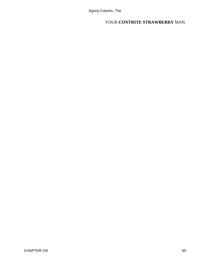YOUR **CONTRITE STRAWBERRY** MAN.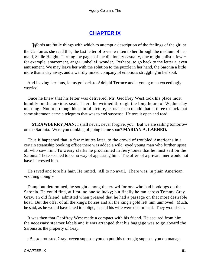## **[CHAPTER IX](#page-66-0)**

<span id="page-61-0"></span>*W*ords are futile things with which to attempt a description of the feelings of the girl at the Canton as she read this, the last letter of seven written to her through the medium of her maid, Sadie Haight. Turning the pages of the dictionary casually, one might enlist a few − for example, amazement, anger, unbelief, wonder. Perhaps, to go back to the letter a, even amusement. We may leave her with the solution to the puzzle in her hand, the Saronia a little more than a day away, and a weirdly mixed company of emotions struggling in her soul.

 And leaving her thus, let us go back to Adelphi Terrace and a young man exceedingly worried.

 Once he knew that his letter was delivered, Mr. Geoffrey West took his place most humbly on the anxious seat. There he writhed through the long hours of Wednesday morning. Not to prolong this painful picture, let us hasten to add that at three o'clock that same afternoon came a telegram that was to end suspense. He tore it open and read:

**STRAWBERRY MAN:** I shall never, never forgive, you. But we are sailing tomorrow on the Saronia. Were you thinking of going home soon? **MARIAN A. LARNED.**

 Thus it happened that, a few minutes later, to the crowd of troubled Americans in a certain steamship booking office there was added a wild−eyed young man who further upset all who saw him. To weary clerks he proclaimed in fiery tones that he must sail on the Saronia. There seemed to be no way of appeasing him. The offer of a private liner would not have interested him.

 He raved and tore his hair. He ranted. All to no avail. There was, in plain American, «nothing doing!»

 Damp but determined, he sought among the crowd for one who had bookings on the Saronia. He could find, at first, no one so lucky; but finally he ran across Tommy Gray. Gray, an old friend, admitted when pressed that he had a passage on that most desirable boat. But the offer of all the king's horses and all the king's gold left him unmoved. Much, he said, as he would have liked to oblige, he and his wife were determined. They would sail.

 It was then that Geoffrey West made a compact with his friend. He secured from him the necessary steamer labels and it was arranged that his baggage was to go aboard the Saronia as the property of Gray.

«But,» protested Gray, «even suppose you do put this through; suppose you do manage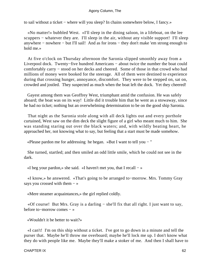to sail without a ticket − where will you sleep? In chains somewhere below, I fancy.»

 «No matter!» bubbled West. «I'll sleep in the dining saloon, in a lifeboat, on the lee scuppers – whatever they are. I'll sleep in the air, without any visible support! I'll sleep anywhere − nowhere − but I'll sail! And as for irons − they don't make 'em strong enough to hold me.»

 At five o'clock on Thursday afternoon the Saronia slipped smoothly away from a Liverpool dock. Twenty−five hundred Americans − about twice the number the boat could comfortably carry − stood on her decks and cheered. Some of those in that crowd who had millions of money were booked for the steerage. All of them were destined to experience during that crossing hunger, annoyance, discomfort. They were to be stepped on, sat on, crowded and jostled. They suspected as much when the boat left the dock. Yet they cheered!

 Gayest among them was Geoffrey West, triumphant amid the confusion. He was safely aboard; the boat was on its way! Little did it trouble him that he went as a stowaway, since he had no ticket; nothing but an overwhelming determination to be on the good ship Saronia.

 That night as the Saronia stole along with all deck lights out and every porthole curtained, West saw on the dim deck the slight figure of a girl who meant much to him. She was standing staring out over the black waters; and, with wildly beating heart, he approached her, not knowing what to say, but feeling that a start must be made somehow.

«Please pardon me for addressing he began. »But I want to tell you − "

 She turned, startled; and then smiled an odd little smile, which he could not see in the dark.

«I beg your pardon,» she said. «I haven't met you, that I recall  $-\infty$ 

 «I know,» he answered. «That's going to be arranged to−morrow. Mrs. Tommy Gray says you crossed with them – »

«Mere steamer acquaintances,» the girl replied coldly.

 «Of course! But Mrs. Gray is a darling − she'll fix that all right. I just want to say, before to−morrow comes − »

«Wouldn't it be better to wait?»

 «I can't! I'm on this ship without a ticket. I've got to go down in a minute and tell the purser that. Maybe he'll throw me overboard; maybe he'll lock me up. I don't know what they do with people like me. Maybe they'll make a stoker of me. And then I shall have to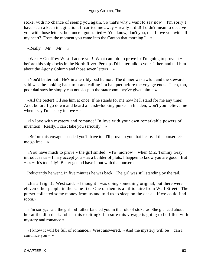stoke, with no chance of seeing you again. So that's why I want to say now − I'm sorry I have such a keen imagination. It carried me away – really it did! I didn't mean to deceive you with those letters; but, once I got started − You know, don't you, that I love you with all my heart? From the moment you came into the Canton that morning  $I - \infty$ 

«Really – Mr. – Mr. – »

 «West − Geoffrey West. I adore you! What can I do to prove it? I'm going to prove it − before this ship docks in the North River. Perhaps I'd better talk to your father, and tell him about the Agony Column and those seven letters − »

 «You'd better not! He's in a terribly bad humor. The dinner was awful, and the steward said we'd be looking back to it and calling it a banquet before the voyage ends. Then, too, poor dad says he simply can not sleep in the stateroom they've given him − »

 «All the better! I'll see him at once. If he stands for me now he'll stand for me any time! And, before I go down and beard a harsh−looking purser in his den, won't you believe me when I say I'm deeply in love  $-\infty$ 

 «In love with mystery and romance! In love with your own remarkable powers of invention! Really, I can't take you seriously  $-\infty$ 

 «Before this voyage is ended you'll have to. I'll prove to you that I care. If the purser lets me go free − »

 «You have much to prove,» the girl smiled. «To−morrow − when Mrs. Tommy Gray introduces us − I may accept you − as a builder of plots. I happen to know you are good. But − as − It's too silly! Better go and have it out with that purser.»

Reluctantly he went. In five minutes he was back. The girl was still standing by the rail.

 «It's all right!» West said. «I thought I was doing something original, but there were eleven other people in the same fix. One of them is a billionaire from Wall Street. The purser collected some money from us and told us to sleep on the deck − if we could find room.»

 «I'm sorry,» said the girl. «I rather fancied you in the role of stoker.» She glanced about her at the dim deck. «Isn't this exciting? I'm sure this voyage is going to be filled with mystery and romance.»

 «I know it will be full of romance,» West answered. «And the mystery will be − can I convince you − »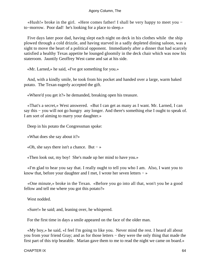«Hush!» broke in the girl. «Here comes father! I shall be very happy to meet you − to−morrow. Poor dad! he's looking for a place to sleep.»

 Five days later poor dad, having slept each night on deck in his clothes while the ship plowed through a cold drizzle, and having starved in a sadly depleted dining saloon, was a sight to move the heart of a political opponent. Immediately after a dinner that had scarcely satisfied a healthy Texas appetite he lounged gloomily in the deck chair which was now his stateroom. Jauntily Geoffrey West came and sat at his side.

«Mr. Larned,» he said, «I've got something for you.»

 And, with a kindly smile, he took from his pocket and handed over a large, warm baked potato. The Texan eagerly accepted the gift.

«Where'd you get it?» he demanded, breaking open his treasure.

 «That's a secret,» West answered. «But I can get as many as I want. Mr. Larned, I can say this – you will not go hungry any longer. And there's something else I ought to speak of. I am sort of aiming to marry your daughter.»

Deep in his potato the Congressman spoke:

«What does she say about it?»

«Oh, she says there isn't a chance. But  $-\infty$ 

«Then look out, my boy! She's made up her mind to have you.»

 «I'm glad to hear you say that. I really ought to tell you who I am. Also, I want you to know that, before your daughter and I met, I wrote her seven letters − »

 «One minute,» broke in the Texan. «Before you go into all that, won't you be a good fellow and tell me where you got this potato?»

West nodded.

«Sure!» he said; and, leaning over, he whispered.

For the first time in days a smile appeared on the face of the older man.

 «My boy,» he said, «I feel I'm going to like you. Never mind the rest. I heard all about you from your friend Gray; and as for those letters − they were the only thing that made the first part of this trip bearable. Marian gave them to me to read the night we came on board.»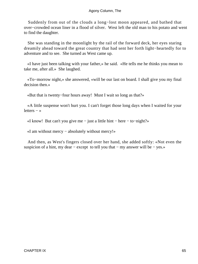Suddenly from out of the clouds a long−lost moon appeared, and bathed that over−crowded ocean liner in a flood of silver. West left the old man to his potato and went to find the daughter.

 She was standing in the moonlight by the rail of the forward deck, her eyes staring dreamily ahead toward the great country that had sent her forth light−heartedly for to adventure and to see. She turned as West came up.

 «I have just been talking with your father,» he said. «He tells me he thinks you mean to take me, after all.» She laughed.

 «To−morrow night,» she answered, «will be our last on board. I shall give you my final decision then.»

«But that is twenty−four hours away! Must I wait so long as that?»

 «A little suspense won't hurt you. I can't forget those long days when I waited for your letters − »

«I know! But can't you give me − just a little hint − here − to−night?»

«I am without mercy − absolutely without mercy!»

 And then, as West's fingers closed over her hand, she added softly: «Not even the suspicion of a hint, my dear – except to tell you that – my answer will be – yes.»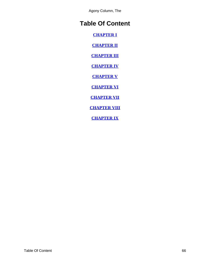## <span id="page-66-0"></span>**Table Of Content**

**[CHAPTER I](#page-3-0)**

**[CHAPTER II](#page-9-0)**

**[CHAPTER III](#page-16-0)**

**[CHAPTER IV](#page-23-0)**

**[CHAPTER V](#page-29-0)**

**[CHAPTER VI](#page-40-0)**

**[CHAPTER VII](#page-48-0)**

**[CHAPTER VIII](#page-57-0)**

**[CHAPTER IX](#page-61-0)**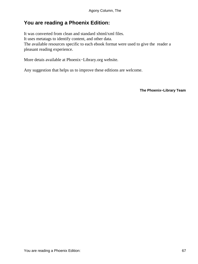## <span id="page-67-0"></span>**You are reading a Phoenix Edition:**

It was converted from clean and standard xhtml/xml files. It uses metatags to identify content, and other data. The available resources specific to each ebook format were used to give the reader a pleasant reading experience.

More detais available at Phoenix−Library.org website.

Any suggestion that helps us to improve these editions are welcome.

**The Phoenix−Library Team**